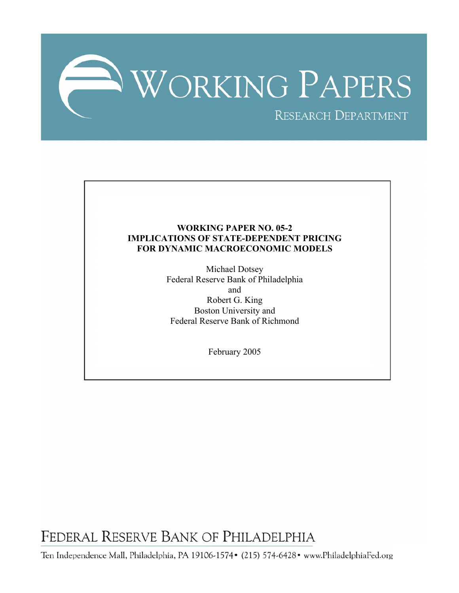

### **WORKING PAPER NO. 05-2 IMPLICATIONS OF STATE-DEPENDENT PRICING FOR DYNAMIC MACROECONOMIC MODELS**

Michael Dotsey Federal Reserve Bank of Philadelphia and Robert G. King Boston University and Federal Reserve Bank of Richmond

February 2005

FEDERAL RESERVE BANK OF PHILADELPHIA

Ten Independence Mall, Philadelphia, PA 19106-1574• (215) 574-6428• www.PhiladelphiaFed.org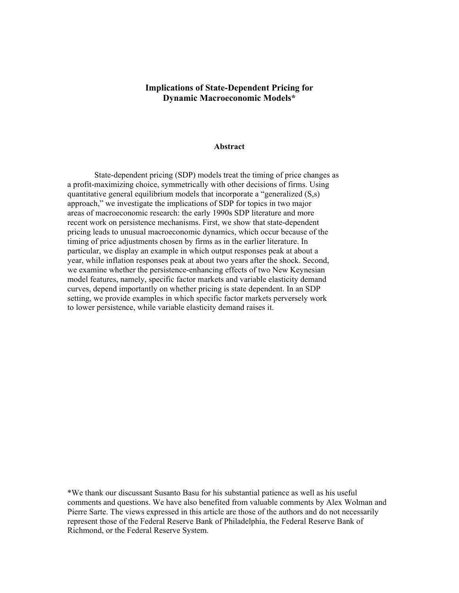### **Implications of State-Dependent Pricing for Dynamic Macroeconomic Models\***

#### **Abstract**

State-dependent pricing (SDP) models treat the timing of price changes as a profit-maximizing choice, symmetrically with other decisions of firms. Using quantitative general equilibrium models that incorporate a "generalized (S,s) approach," we investigate the implications of SDP for topics in two major areas of macroeconomic research: the early 1990s SDP literature and more recent work on persistence mechanisms. First, we show that state-dependent pricing leads to unusual macroeconomic dynamics, which occur because of the timing of price adjustments chosen by firms as in the earlier literature. In particular, we display an example in which output responses peak at about a year, while inflation responses peak at about two years after the shock. Second, we examine whether the persistence-enhancing effects of two New Keynesian model features, namely, specific factor markets and variable elasticity demand curves, depend importantly on whether pricing is state dependent. In an SDP setting, we provide examples in which specific factor markets perversely work to lower persistence, while variable elasticity demand raises it.

\*We thank our discussant Susanto Basu for his substantial patience as well as his useful comments and questions. We have also benefited from valuable comments by Alex Wolman and Pierre Sarte. The views expressed in this article are those of the authors and do not necessarily represent those of the Federal Reserve Bank of Philadelphia, the Federal Reserve Bank of Richmond, or the Federal Reserve System.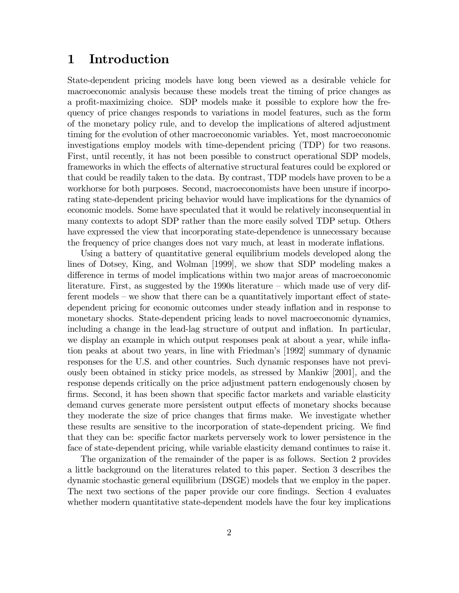# 1 Introduction

State-dependent pricing models have long been viewed as a desirable vehicle for macroeconomic analysis because these models treat the timing of price changes as a profit-maximizing choice. SDP models make it possible to explore how the frequency of price changes responds to variations in model features, such as the form of the monetary policy rule, and to develop the implications of altered adjustment timing for the evolution of other macroeconomic variables. Yet, most macroeconomic investigations employ models with time-dependent pricing (TDP) for two reasons. First, until recently, it has not been possible to construct operational SDP models, frameworks in which the effects of alternative structural features could be explored or that could be readily taken to the data. By contrast, TDP models have proven to be a workhorse for both purposes. Second, macroeconomists have been unsure if incorporating state-dependent pricing behavior would have implications for the dynamics of economic models. Some have speculated that it would be relatively inconsequential in many contexts to adopt SDP rather than the more easily solved TDP setup. Others have expressed the view that incorporating state-dependence is unnecessary because the frequency of price changes does not vary much, at least in moderate inflations.

Using a battery of quantitative general equilibrium models developed along the lines of Dotsey, King, and Wolman [1999], we show that SDP modeling makes a difference in terms of model implications within two major areas of macroeconomic literature. First, as suggested by the 1990s literature — which made use of very different models — we show that there can be a quantitatively important effect of statedependent pricing for economic outcomes under steady inflation and in response to monetary shocks. State-dependent pricing leads to novel macroeconomic dynamics, including a change in the lead-lag structure of output and inflation. In particular, we display an example in which output responses peak at about a year, while inflation peaks at about two years, in line with Friedman's [1992] summary of dynamic responses for the U.S. and other countries. Such dynamic responses have not previously been obtained in sticky price models, as stressed by Mankiw [2001], and the response depends critically on the price adjustment pattern endogenously chosen by firms. Second, it has been shown that specific factor markets and variable elasticity demand curves generate more persistent output effects of monetary shocks because they moderate the size of price changes that firms make. We investigate whether these results are sensitive to the incorporation of state-dependent pricing. We find that they can be: specific factor markets perversely work to lower persistence in the face of state-dependent pricing, while variable elasticity demand continues to raise it.

The organization of the remainder of the paper is as follows. Section 2 provides a little background on the literatures related to this paper. Section 3 describes the dynamic stochastic general equilibrium (DSGE) models that we employ in the paper. The next two sections of the paper provide our core findings. Section 4 evaluates whether modern quantitative state-dependent models have the four key implications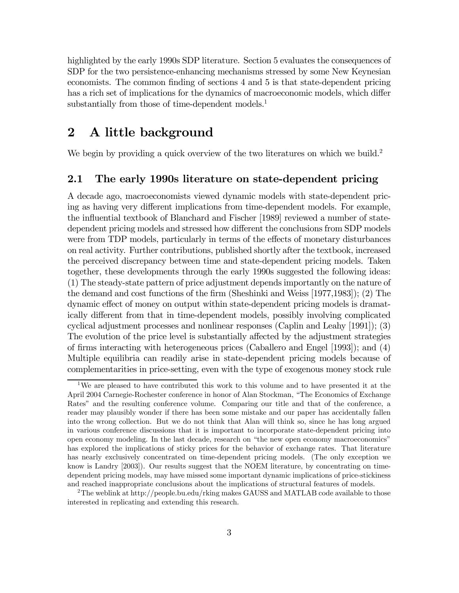highlighted by the early 1990s SDP literature. Section 5 evaluates the consequences of SDP for the two persistence-enhancing mechanisms stressed by some New Keynesian economists. The common finding of sections 4 and 5 is that state-dependent pricing has a rich set of implications for the dynamics of macroeconomic models, which differ substantially from those of time-dependent models.<sup>1</sup>

# 2 A little background

We begin by providing a quick overview of the two literatures on which we build.<sup>2</sup>

#### 2.1 The early 1990s literature on state-dependent pricing

A decade ago, macroeconomists viewed dynamic models with state-dependent pricing as having very different implications from time-dependent models. For example, the influential textbook of Blanchard and Fischer [1989] reviewed a number of statedependent pricing models and stressed how different the conclusions from SDP models were from TDP models, particularly in terms of the effects of monetary disturbances on real activity. Further contributions, published shortly after the textbook, increased the perceived discrepancy between time and state-dependent pricing models. Taken together, these developments through the early 1990s suggested the following ideas: (1) The steady-state pattern of price adjustment depends importantly on the nature of the demand and cost functions of the firm (Sheshinki and Weiss [1977,1983]); (2) The dynamic effect of money on output within state-dependent pricing models is dramatically different from that in time-dependent models, possibly involving complicated cyclical adjustment processes and nonlinear responses (Caplin and Leahy [1991]); (3) The evolution of the price level is substantially affected by the adjustment strategies of firms interacting with heterogeneous prices (Caballero and Engel [1993]); and (4) Multiple equilibria can readily arise in state-dependent pricing models because of complementarities in price-setting, even with the type of exogenous money stock rule

<sup>&</sup>lt;sup>1</sup>We are pleased to have contributed this work to this volume and to have presented it at the April 2004 Carnegie-Rochester conference in honor of Alan Stockman, "The Economics of Exchange Rates" and the resulting conference volume. Comparing our title and that of the conference, a reader may plausibly wonder if there has been some mistake and our paper has accidentally fallen into the wrong collection. But we do not think that Alan will think so, since he has long argued in various conference discussions that it is important to incorporate state-dependent pricing into open economy modeling. In the last decade, research on "the new open economy macroeconomics" has explored the implications of sticky prices for the behavior of exchange rates. That literature has nearly exclusively concentrated on time-dependent pricing models. (The only exception we know is Landry [2003]). Our results suggest that the NOEM literature, by concentrating on timedependent pricing models, may have missed some important dynamic implications of price-stickiness and reached inappropriate conclusions about the implications of structural features of models.

<sup>&</sup>lt;sup>2</sup>The weblink at http://people.bu.edu/rking makes GAUSS and MATLAB code available to those interested in replicating and extending this research.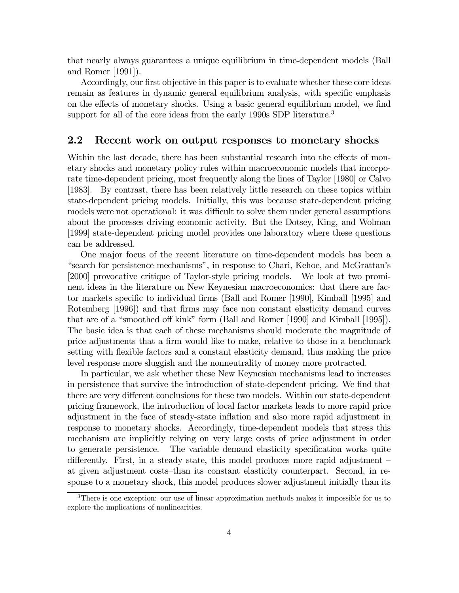that nearly always guarantees a unique equilibrium in time-dependent models (Ball and Romer [1991]).

Accordingly, our first objective in this paper is to evaluate whether these core ideas remain as features in dynamic general equilibrium analysis, with specific emphasis on the effects of monetary shocks. Using a basic general equilibrium model, we find support for all of the core ideas from the early 1990s SDP literature.<sup>3</sup>

### 2.2 Recent work on output responses to monetary shocks

Within the last decade, there has been substantial research into the effects of monetary shocks and monetary policy rules within macroeconomic models that incorporate time-dependent pricing, most frequently along the lines of Taylor [1980] or Calvo [1983]. By contrast, there has been relatively little research on these topics within state-dependent pricing models. Initially, this was because state-dependent pricing models were not operational: it was difficult to solve them under general assumptions about the processes driving economic activity. But the Dotsey, King, and Wolman [1999] state-dependent pricing model provides one laboratory where these questions can be addressed.

One major focus of the recent literature on time-dependent models has been a "search for persistence mechanisms", in response to Chari, Kehoe, and McGrattan's [2000] provocative critique of Taylor-style pricing models. We look at two prominent ideas in the literature on New Keynesian macroeconomics: that there are factor markets specific to individual firms (Ball and Romer [1990], Kimball [1995] and Rotemberg [1996]) and that firms may face non constant elasticity demand curves that are of a "smoothed off kink" form (Ball and Romer [1990] and Kimball [1995]). The basic idea is that each of these mechanisms should moderate the magnitude of price adjustments that a firm would like to make, relative to those in a benchmark setting with flexible factors and a constant elasticity demand, thus making the price level response more sluggish and the nonneutrality of money more protracted.

In particular, we ask whether these New Keynesian mechanisms lead to increases in persistence that survive the introduction of state-dependent pricing. We find that there are very different conclusions for these two models. Within our state-dependent pricing framework, the introduction of local factor markets leads to more rapid price adjustment in the face of steady-state inflation and also more rapid adjustment in response to monetary shocks. Accordingly, time-dependent models that stress this mechanism are implicitly relying on very large costs of price adjustment in order to generate persistence. The variable demand elasticity specification works quite differently. First, in a steady state, this model produces more rapid adjustment at given adjustment costs—than its constant elasticity counterpart. Second, in response to a monetary shock, this model produces slower adjustment initially than its

<sup>3</sup>There is one exception: our use of linear approximation methods makes it impossible for us to explore the implications of nonlinearities.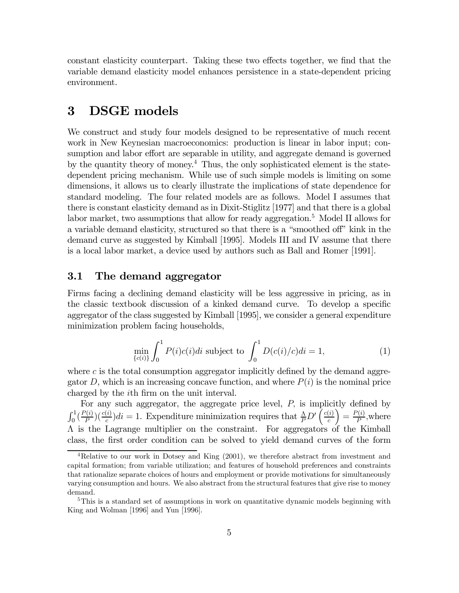constant elasticity counterpart. Taking these two effects together, we find that the variable demand elasticity model enhances persistence in a state-dependent pricing environment.

# 3 DSGE models

We construct and study four models designed to be representative of much recent work in New Keynesian macroeconomics: production is linear in labor input; consumption and labor effort are separable in utility, and aggregate demand is governed by the quantity theory of money.4 Thus, the only sophisticated element is the statedependent pricing mechanism. While use of such simple models is limiting on some dimensions, it allows us to clearly illustrate the implications of state dependence for standard modeling. The four related models are as follows. Model I assumes that there is constant elasticity demand as in Dixit-Stiglitz [1977] and that there is a global labor market, two assumptions that allow for ready aggregation.<sup>5</sup> Model II allows for a variable demand elasticity, structured so that there is a "smoothed off" kink in the demand curve as suggested by Kimball [1995]. Models III and IV assume that there is a local labor market, a device used by authors such as Ball and Romer [1991].

### 3.1 The demand aggregator

Firms facing a declining demand elasticity will be less aggressive in pricing, as in the classic textbook discussion of a kinked demand curve. To develop a specific aggregator of the class suggested by Kimball [1995], we consider a general expenditure minimization problem facing households,

$$
\min_{\{c(i)\}} \int_0^1 P(i)c(i)di \text{ subject to } \int_0^1 D(c(i)/c)di = 1,
$$
\n(1)

where  $c$  is the total consumption aggregator implicitly defined by the demand aggregator D, which is an increasing concave function, and where  $P(i)$  is the nominal price charged by the ith firm on the unit interval.

For any such aggregator, the aggregate price level,  $P$ , is implicitly defined by  $\int_0^1 \left(\frac{P(i)}{P}\right) \left(\frac{c(i)}{c}\right) di = 1$ . Expenditure minimization requires that  $\frac{\Lambda}{P}D'\left(\frac{c(i)}{c}\right)$ c  $\bigg) = \frac{P(i)}{P}$ , where Λ is the Lagrange multiplier on the constraint. For aggregators of the Kimball class, the first order condition can be solved to yield demand curves of the form

<sup>&</sup>lt;sup>4</sup>Relative to our work in Dotsey and King  $(2001)$ , we therefore abstract from investment and capital formation; from variable utilization; and features of household preferences and constraints that rationalize separate choices of hours and employment or provide motivations for simultaneously varying consumption and hours. We also abstract from the structural features that give rise to money demand.

 $5$ This is a standard set of assumptions in work on quantitative dynamic models beginning with King and Wolman [1996] and Yun [1996].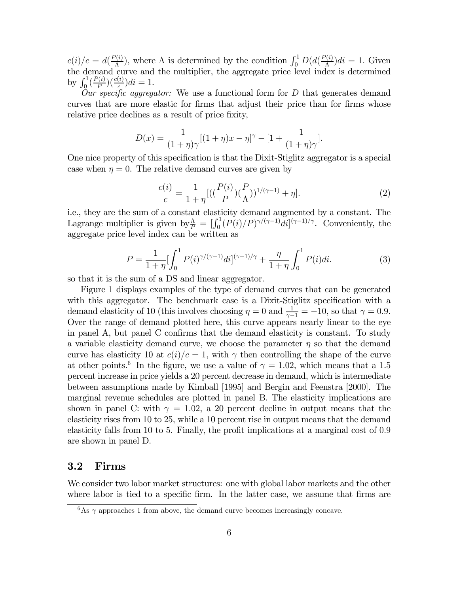$c(i)/c = d(\frac{P(i)}{\Lambda})$ , where  $\Lambda$  is determined by the condition  $\int_0^1 D(d(\frac{P(i)}{\Lambda})di = 1$ . Given the demand curve and the multiplier, the aggregate price level index is determined by  $\int_0^1 \left(\frac{P(i)}{P}\right) \left(\frac{c(i)}{c}\right) di = 1.$ 

 $Our specific *aggregation*: We use a functional form for D that generates demand.$ curves that are more elastic for firms that adjust their price than for firms whose relative price declines as a result of price fixity,

$$
D(x) = \frac{1}{(1+\eta)\gamma}[(1+\eta)x - \eta]^{\gamma} - [1 + \frac{1}{(1+\eta)\gamma}].
$$

One nice property of this specification is that the Dixit-Stiglitz aggregator is a special case when  $\eta = 0$ . The relative demand curves are given by

$$
\frac{c(i)}{c} = \frac{1}{1+\eta} [((\frac{P(i)}{P})(\frac{P}{\Lambda}))^{1/(\gamma-1)} + \eta].
$$
\n(2)

i.e., they are the sum of a constant elasticity demand augmented by a constant. The Lagrange multiplier is given by  $\frac{\Lambda}{P} = \left[\int_0^1 (P(i)/P)^{\gamma/(\gamma-1)} di\right]^{(\gamma-1)/\gamma}$ . Conveniently, the aggregate price level index can be written as

$$
P = \frac{1}{1+\eta} \left[ \int_0^1 P(i)^{\gamma/(\gamma-1)} di \right]^{(\gamma-1)/\gamma} + \frac{\eta}{1+\eta} \int_0^1 P(i) di. \tag{3}
$$

so that it is the sum of a DS and linear aggregator.

Figure 1 displays examples of the type of demand curves that can be generated with this aggregator. The benchmark case is a Dixit-Stiglitz specification with a demand elasticity of 10 (this involves choosing  $\eta = 0$  and  $\frac{1}{\gamma - 1} = -10$ , so that  $\gamma = 0.9$ . Over the range of demand plotted here, this curve appears nearly linear to the eye in panel A, but panel C confirms that the demand elasticity is constant. To study a variable elasticity demand curve, we choose the parameter  $\eta$  so that the demand curve has elasticity 10 at  $c(i)/c = 1$ , with  $\gamma$  then controlling the shape of the curve at other points.<sup>6</sup> In the figure, we use a value of  $\gamma = 1.02$ , which means that a 1.5 percent increase in price yields a 20 percent decrease in demand, which is intermediate between assumptions made by Kimball [1995] and Bergin and Feenstra [2000]. The marginal revenue schedules are plotted in panel B. The elasticity implications are shown in panel C: with  $\gamma = 1.02$ , a 20 percent decline in output means that the elasticity rises from 10 to 25, while a 10 percent rise in output means that the demand elasticity falls from 10 to 5. Finally, the profit implications at a marginal cost of 0.9 are shown in panel D.

### 3.2 Firms

We consider two labor market structures: one with global labor markets and the other where labor is tied to a specific firm. In the latter case, we assume that firms are

 $6$ As  $\gamma$  approaches 1 from above, the demand curve becomes increasingly concave.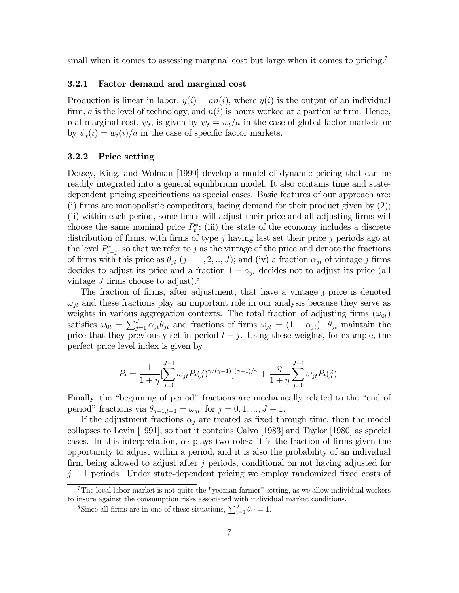small when it comes to assessing marginal cost but large when it comes to pricing.<sup>7</sup>

#### 3.2.1 Factor demand and marginal cost

Production is linear in labor,  $y(i) = an(i)$ , where  $y(i)$  is the output of an individual firm, a is the level of technology, and  $n(i)$  is hours worked at a particular firm. Hence, real marginal cost,  $\psi_t$ , is given by  $\psi_t = w_t/a$  in the case of global factor markets or by  $\psi_t(i) = w_t(i)/a$  in the case of specific factor markets.

#### 3.2.2 Price setting

Dotsey, King, and Wolman [1999] develop a model of dynamic pricing that can be readily integrated into a general equilibrium model. It also contains time and statedependent pricing specifications as special cases. Basic features of our approach are: (i) firms are monopolistic competitors, facing demand for their product given by (2); (ii) within each period, some firms will adjust their price and all adjusting firms will choose the same nominal price  $P_t^*$ ; (iii) the state of the economy includes a discrete distribution of firms, with firms of type  $j$  having last set their price  $j$  periods ago at the level  $P_{t-j}^*$ , so that we refer to j as the vintage of the price and denote the fractions of firms with this price as  $\theta_{jt}$   $(j = 1, 2, ..., J)$ ; and (iv) a fraction  $\alpha_{jt}$  of vintage j firms decides to adjust its price and a fraction  $1 - \alpha_{jt}$  decides not to adjust its price (all vintage J firms choose to adjust).<sup>8</sup>

The fraction of firms, after adjustment, that have a vintage j price is denoted  $\omega_{it}$  and these fractions play an important role in our analysis because they serve as weights in various aggregation contexts. The total fraction of adjusting firms  $(\omega_{0t})$ satisfies  $\omega_{0t} = \sum_{j=1}^{J} \alpha_{jt} \theta_{jt}$  and fractions of firms  $\omega_{jt} = (1 - \alpha_{jt}) \cdot \theta_{jt}$  maintain the price that they previously set in period  $t - j$ . Using these weights, for example, the perfect price level index is given by

$$
P_t = \frac{1}{1+\eta} \left[ \sum_{j=0}^{J-1} \omega_{jt} P_t(j)^{\gamma/(\gamma-1)} \right]^{(\gamma-1)/\gamma} + \frac{\eta}{1+\eta} \sum_{j=0}^{J-1} \omega_{jt} P_t(j).
$$

Finally, the "beginning of period" fractions are mechanically related to the "end of period" fractions via  $\theta_{j+1,t+1} = \omega_{jt}$  for  $j = 0, 1, ..., J-1$ .

If the adjustment fractions  $\alpha_i$  are treated as fixed through time, then the model collapses to Levin [1991], so that it contains Calvo [1983] and Taylor [1980] as special cases. In this interpretation,  $\alpha_i$  plays two roles: it is the fraction of firms given the opportunity to adjust within a period, and it is also the probability of an individual firm being allowed to adjust after j periods, conditional on not having adjusted for  $j-1$  periods. Under state-dependent pricing we employ randomized fixed costs of

<sup>&</sup>lt;sup>7</sup>The local labor market is not quite the "yeoman farmer" setting, as we allow individual workers to insure against the consumption risks associated with individual market conditions.

<sup>&</sup>lt;sup>8</sup>Since all firms are in one of these situations,  $\sum_{i=1}^{J} \theta_{it} = 1$ .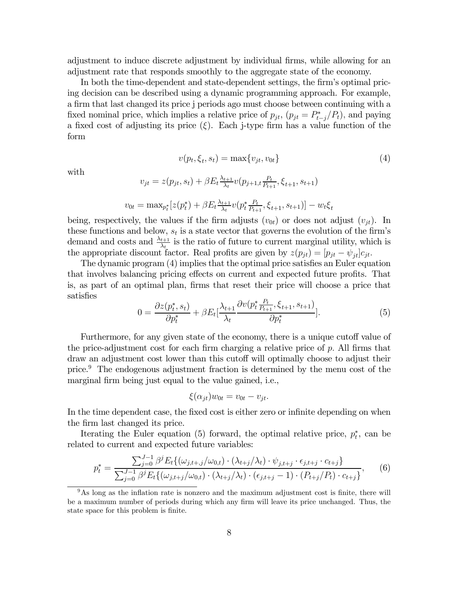adjustment to induce discrete adjustment by individual firms, while allowing for an adjustment rate that responds smoothly to the aggregate state of the economy.

In both the time-dependent and state-dependent settings, the firm's optimal pricing decision can be described using a dynamic programming approach. For example, a firm that last changed its price j periods ago must choose between continuing with a fixed nominal price, which implies a relative price of  $p_{jt}$ ,  $(p_{jt} = P_{t-j}^*/P_t)$ , and paying a fixed cost of adjusting its price  $(\xi)$ . Each j-type firm has a value function of the form

$$
v(p_t, \xi_t, s_t) = \max\{v_{jt}, v_{0t}\}\tag{4}
$$

with

$$
v_{jt} = z(p_{jt}, s_t) + \beta E_t \frac{\lambda_{t+1}}{\lambda_t} v(p_{j+1,t} \frac{P_t}{P_{t+1}}, \xi_{t+1}, s_{t+1})
$$

$$
v_{0t} = \max_{p_t^*} [z(p_t^*) + \beta E_t \frac{\lambda_{t+1}}{\lambda_t} v(p_t^* \frac{P_t}{P_{t+1}}, \xi_{t+1}, s_{t+1})] - w_t \xi_t
$$

being, respectively, the values if the firm adjusts  $(v_{0t})$  or does not adjust  $(v_{jt})$ . In these functions and below,  $s_t$  is a state vector that governs the evolution of the firm's demand and costs and  $\frac{\lambda_{t+1}}{\lambda_t}$  is the ratio of future to current marginal utility, which is the appropriate discount factor. Real profits are given by  $z(p_{jt})=[p_{jt} - \psi_{it}]c_{jt}.$ 

The dynamic program (4) implies that the optimal price satisfies an Euler equation that involves balancing pricing effects on current and expected future profits. That is, as part of an optimal plan, firms that reset their price will choose a price that satisfies

$$
0 = \frac{\partial z(p_t^*, s_t)}{\partial p_t^*} + \beta E_t \left[\frac{\lambda_{t+1}}{\lambda_t} \frac{\partial v(p_t^* \frac{P_t}{P_{t+1}}, \xi_{t+1}, s_{t+1})}{\partial p_t^*}\right].
$$
\n
$$
(5)
$$

Furthermore, for any given state of the economy, there is a unique cutoff value of the price-adjustment cost for each firm charging a relative price of  $p$ . All firms that draw an adjustment cost lower than this cutoff will optimally choose to adjust their price.9 The endogenous adjustment fraction is determined by the menu cost of the marginal firm being just equal to the value gained, i.e.,

$$
\xi(\alpha_{jt})w_{0t} = v_{0t} - v_{jt}.
$$

In the time dependent case, the fixed cost is either zero or infinite depending on when the firm last changed its price.

Iterating the Euler equation (5) forward, the optimal relative price,  $p_t^*$ , can be related to current and expected future variables:

$$
p_t^* = \frac{\sum_{j=0}^{J-1} \beta^j E_t \{ (\omega_{j,t+j}/\omega_{0,t}) \cdot (\lambda_{t+j}/\lambda_t) \cdot \psi_{j,t+j} \cdot \epsilon_{j,t+j} \cdot c_{t+j} \}}{\sum_{j=0}^{J-1} \beta^j E_t \{ (\omega_{j,t+j}/\omega_{0,t}) \cdot (\lambda_{t+j}/\lambda_t) \cdot (\epsilon_{j,t+j} - 1) \cdot (P_{t+j}/P_t) \cdot c_{t+j} \}},\tag{6}
$$

 $9<sup>9</sup>$ As long as the inflation rate is nonzero and the maximum adjustment cost is finite, there will be a maximum number of periods during which any firm will leave its price unchanged. Thus, the state space for this problem is finite.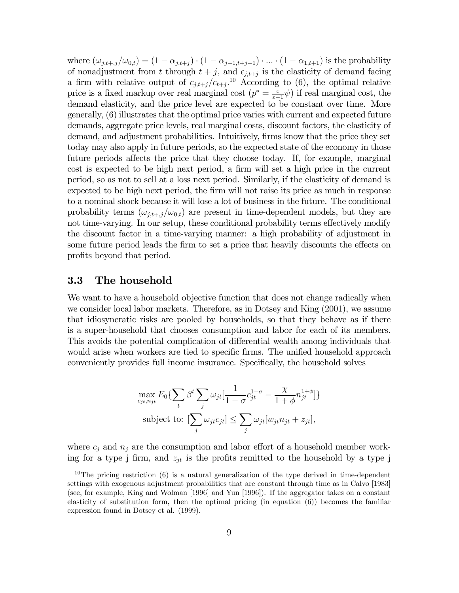where  $(\omega_{j,t+,j}/\omega_{0,t}) = (1 - \alpha_{j,t+j}) \cdot (1 - \alpha_{j-1,t+j-1}) \cdot ... \cdot (1 - \alpha_{1,t+1})$  is the probability of nonadjustment from t through  $t + j$ , and  $\epsilon_{j,t+j}$  is the elasticity of demand facing a firm with relative output of  $c_{j,t+j}/c_{t+j}$ .<sup>10</sup> According to (6), the optimal relative price is a fixed markup over real marginal cost  $(p^* = \frac{\varepsilon}{\varepsilon - 1}\psi)$  if real marginal cost, the demand elasticity, and the price level are expected to be constant over time. More generally, (6) illustrates that the optimal price varies with current and expected future demands, aggregate price levels, real marginal costs, discount factors, the elasticity of demand, and adjustment probabilities. Intuitively, firms know that the price they set today may also apply in future periods, so the expected state of the economy in those future periods affects the price that they choose today. If, for example, marginal cost is expected to be high next period, a firm will set a high price in the current period, so as not to sell at a loss next period. Similarly, if the elasticity of demand is expected to be high next period, the firm will not raise its price as much in response to a nominal shock because it will lose a lot of business in the future. The conditional probability terms  $(\omega_{i,t+1}/\omega_{0,t})$  are present in time-dependent models, but they are not time-varying. In our setup, these conditional probability terms effectively modify the discount factor in a time-varying manner: a high probability of adjustment in some future period leads the firm to set a price that heavily discounts the effects on profits beyond that period.

#### 3.3 The household

We want to have a household objective function that does not change radically when we consider local labor markets. Therefore, as in Dotsey and King (2001), we assume that idiosyncratic risks are pooled by households, so that they behave as if there is a super-household that chooses consumption and labor for each of its members. This avoids the potential complication of differential wealth among individuals that would arise when workers are tied to specific firms. The unified household approach conveniently provides full income insurance. Specifically, the household solves

$$
\max_{c_{jt}, n_{jt}} E_0\{\sum_t \beta^t \sum_j \omega_{jt} \left[\frac{1}{1-\sigma} c_{jt}^{1-\sigma} - \frac{\chi}{1+\phi} n_{jt}^{1+\phi}\right]\}
$$
\nsubject to: 
$$
[\sum_j \omega_{jt} c_{jt}] \leq \sum_j \omega_{jt} [w_{jt} n_{jt} + z_{jt}],
$$

where  $c_j$  and  $n_j$  are the consumption and labor effort of a household member working for a type j firm, and  $z_{jt}$  is the profits remitted to the household by a type j

<sup>&</sup>lt;sup>10</sup>The pricing restriction (6) is a natural generalization of the type derived in time-dependent settings with exogenous adjustment probabilities that are constant through time as in Calvo [1983] (see, for example, King and Wolman [1996] and Yun [1996]). If the aggregator takes on a constant elasticity of substitution form, then the optimal pricing (in equation (6)) becomes the familiar expression found in Dotsey et al. (1999).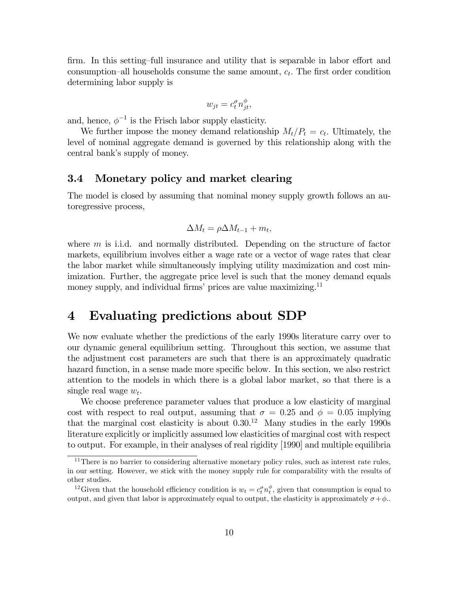firm. In this setting—full insurance and utility that is separable in labor effort and consumption—all households consume the same amount,  $c_t$ . The first order condition determining labor supply is

$$
w_{jt} = c_t^{\sigma} n_{jt}^{\phi},
$$

and, hence,  $\phi^{-1}$  is the Frisch labor supply elasticity.

We further impose the money demand relationship  $M_t/P_t = c_t$ . Ultimately, the level of nominal aggregate demand is governed by this relationship along with the central bank's supply of money.

### 3.4 Monetary policy and market clearing

The model is closed by assuming that nominal money supply growth follows an autoregressive process,

$$
\Delta M_t = \rho \Delta M_{t-1} + m_t,
$$

where  $m$  is i.i.d. and normally distributed. Depending on the structure of factor markets, equilibrium involves either a wage rate or a vector of wage rates that clear the labor market while simultaneously implying utility maximization and cost minimization. Further, the aggregate price level is such that the money demand equals money supply, and individual firms' prices are value maximizing.<sup>11</sup>

# 4 Evaluating predictions about SDP

We now evaluate whether the predictions of the early 1990s literature carry over to our dynamic general equilibrium setting. Throughout this section, we assume that the adjustment cost parameters are such that there is an approximately quadratic hazard function, in a sense made more specific below. In this section, we also restrict attention to the models in which there is a global labor market, so that there is a single real wage  $w_t$ .

We choose preference parameter values that produce a low elasticity of marginal cost with respect to real output, assuming that  $\sigma = 0.25$  and  $\phi = 0.05$  implying that the marginal cost elasticity is about  $0.30^{12}$  Many studies in the early 1990s literature explicitly or implicitly assumed low elasticities of marginal cost with respect to output. For example, in their analyses of real rigidity [1990] and multiple equilibria

 $11$ There is no barrier to considering alternative monetary policy rules, such as interest rate rules, in our setting. However, we stick with the money supply rule for comparability with the results of other studies.

<sup>&</sup>lt;sup>12</sup> Given that the household efficiency condition is  $w_t = c_t^{\sigma} n_t^{\phi}$ , given that consumption is equal to output, and given that labor is approximately equal to output, the elasticity is approximately  $\sigma + \phi$ .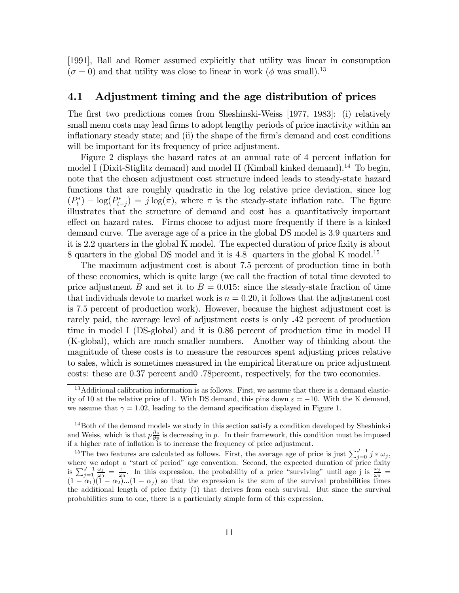[1991], Ball and Romer assumed explicitly that utility was linear in consumption  $(\sigma = 0)$  and that utility was close to linear in work  $(\phi$  was small).<sup>13</sup>

#### 4.1 Adjustment timing and the age distribution of prices

The first two predictions comes from Sheshinski-Weiss [1977, 1983]: (i) relatively small menu costs may lead firms to adopt lengthy periods of price inactivity within an inflationary steady state; and (ii) the shape of the firm's demand and cost conditions will be important for its frequency of price adjustment.

Figure 2 displays the hazard rates at an annual rate of 4 percent inflation for model I (Dixit-Stiglitz demand) and model II (Kimball kinked demand).<sup>14</sup> To begin, note that the chosen adjustment cost structure indeed leads to steady-state hazard functions that are roughly quadratic in the log relative price deviation, since log  $(P_t^*) - \log(P_{t-j}^*) = j \log(\pi)$ , where  $\pi$  is the steady-state inflation rate. The figure illustrates that the structure of demand and cost has a quantitatively important effect on hazard rates. Firms choose to adjust more frequently if there is a kinked demand curve. The average age of a price in the global DS model is 3.9 quarters and it is 2.2 quarters in the global K model. The expected duration of price fixity is about 8 quarters in the global DS model and it is 4.8 quarters in the global K model.<sup>15</sup>

The maximum adjustment cost is about 7.5 percent of production time in both of these economies, which is quite large (we call the fraction of total time devoted to price adjustment B and set it to  $B = 0.015$ : since the steady-state fraction of time that individuals devote to market work is  $n = 0.20$ , it follows that the adjustment cost is 7.5 percent of production work). However, because the highest adjustment cost is rarely paid, the average level of adjustment costs is only .42 percent of production time in model I (DS-global) and it is 0.86 percent of production time in model II (K-global), which are much smaller numbers. Another way of thinking about the magnitude of these costs is to measure the resources spent adjusting prices relative to sales, which is sometimes measured in the empirical literature on price adjustment costs: these are 0.37 percent and0 .78percent, respectively, for the two economies.

<sup>&</sup>lt;sup>13</sup> Additional calibration information is as follows. First, we assume that there is a demand elasticity of 10 at the relative price of 1. With DS demand, this pins down  $\varepsilon = -10$ . With the K demand, we assume that  $\gamma = 1.02$ , leading to the demand specification displayed in Figure 1.

 $14$ Both of the demand models we study in this section satisfy a condition developed by Sheshinksi and Weiss, which is that  $p\frac{\partial z}{\partial p}$  is decreasing in p. In their framework, this condition must be imposed if a higher rate of inflation is to increase the frequency of price adjustment.

<sup>&</sup>lt;sup>15</sup>The two features are calculated as follows. First, the average age of price is just  $\sum_{j=0}^{J-1} j * \omega_j$ , where we adopt a "start of period" age convention. Second, the expected duration of price fixity is  $\sum_{j=1}^{J-1} \frac{\omega_j}{\omega_0} = \frac{1}{\omega_0}$ . In this expression, the probability of a price "surviving" until age j is  $\frac{\omega_j}{\omega_0} =$  $(1 - \alpha_1)(1 - \alpha_2)...(1 - \alpha_j)$  so that the expression is the sum of the survival probabilities times the additional length of price fixity (1) that derives from each survival. But since the survival probabilities sum to one, there is a particularly simple form of this expression.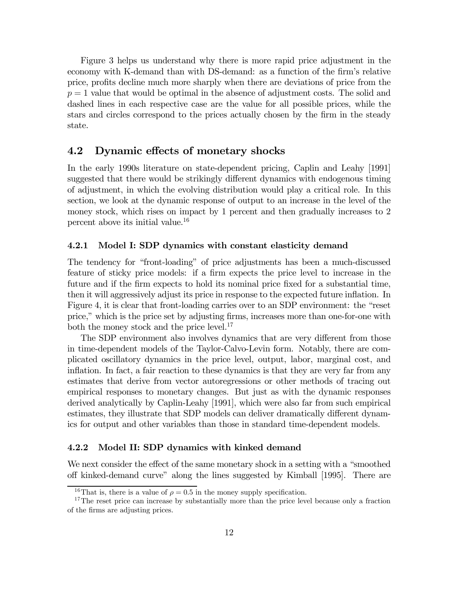Figure 3 helps us understand why there is more rapid price adjustment in the economy with K-demand than with DS-demand: as a function of the firm's relative price, profits decline much more sharply when there are deviations of price from the  $p = 1$  value that would be optimal in the absence of adjustment costs. The solid and dashed lines in each respective case are the value for all possible prices, while the stars and circles correspond to the prices actually chosen by the firm in the steady state.

#### 4.2 Dynamic effects of monetary shocks

In the early 1990s literature on state-dependent pricing, Caplin and Leahy [1991] suggested that there would be strikingly different dynamics with endogenous timing of adjustment, in which the evolving distribution would play a critical role. In this section, we look at the dynamic response of output to an increase in the level of the money stock, which rises on impact by 1 percent and then gradually increases to 2 percent above its initial value.16

#### 4.2.1 Model I: SDP dynamics with constant elasticity demand

The tendency for "front-loading" of price adjustments has been a much-discussed feature of sticky price models: if a firm expects the price level to increase in the future and if the firm expects to hold its nominal price fixed for a substantial time, then it will aggressively adjust its price in response to the expected future inflation. In Figure 4, it is clear that front-loading carries over to an SDP environment: the "reset price," which is the price set by adjusting firms, increases more than one-for-one with both the money stock and the price level.<sup>17</sup>

The SDP environment also involves dynamics that are very different from those in time-dependent models of the Taylor-Calvo-Levin form. Notably, there are complicated oscillatory dynamics in the price level, output, labor, marginal cost, and inflation. In fact, a fair reaction to these dynamics is that they are very far from any estimates that derive from vector autoregressions or other methods of tracing out empirical responses to monetary changes. But just as with the dynamic responses derived analytically by Caplin-Leahy [1991], which were also far from such empirical estimates, they illustrate that SDP models can deliver dramatically different dynamics for output and other variables than those in standard time-dependent models.

#### 4.2.2 Model II: SDP dynamics with kinked demand

We next consider the effect of the same monetary shock in a setting with a "smoothed off kinked-demand curve" along the lines suggested by Kimball [1995]. There are

<sup>&</sup>lt;sup>16</sup>That is, there is a value of  $\rho = 0.5$  in the money supply specification.

<sup>&</sup>lt;sup>17</sup>The reset price can increase by substantially more than the price level because only a fraction of the firms are adjusting prices.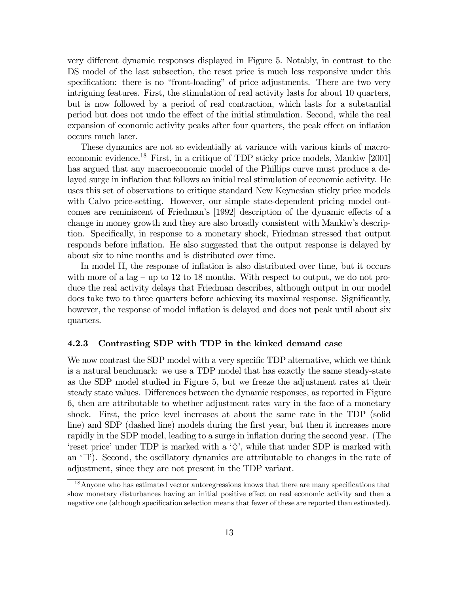very different dynamic responses displayed in Figure 5. Notably, in contrast to the DS model of the last subsection, the reset price is much less responsive under this specification: there is no "front-loading" of price adjustments. There are two very intriguing features. First, the stimulation of real activity lasts for about 10 quarters, but is now followed by a period of real contraction, which lasts for a substantial period but does not undo the effect of the initial stimulation. Second, while the real expansion of economic activity peaks after four quarters, the peak effect on inflation occurs much later.

These dynamics are not so evidentially at variance with various kinds of macroeconomic evidence.18 First, in a critique of TDP sticky price models, Mankiw [2001] has argued that any macroeconomic model of the Phillips curve must produce a delayed surge in inflation that follows an initial real stimulation of economic activity. He uses this set of observations to critique standard New Keynesian sticky price models with Calvo price-setting. However, our simple state-dependent pricing model outcomes are reminiscent of Friedman's [1992] description of the dynamic effects of a change in money growth and they are also broadly consistent with Mankiw's description. Specifically, in response to a monetary shock, Friedman stressed that output responds before inflation. He also suggested that the output response is delayed by about six to nine months and is distributed over time.

In model II, the response of inflation is also distributed over time, but it occurs with more of a lag – up to 12 to 18 months. With respect to output, we do not produce the real activity delays that Friedman describes, although output in our model does take two to three quarters before achieving its maximal response. Significantly, however, the response of model inflation is delayed and does not peak until about six quarters.

#### 4.2.3 Contrasting SDP with TDP in the kinked demand case

We now contrast the SDP model with a very specific TDP alternative, which we think is a natural benchmark: we use a TDP model that has exactly the same steady-state as the SDP model studied in Figure 5, but we freeze the adjustment rates at their steady state values. Differences between the dynamic responses, as reported in Figure 6, then are attributable to whether adjustment rates vary in the face of a monetary shock. First, the price level increases at about the same rate in the TDP (solid line) and SDP (dashed line) models during the first year, but then it increases more rapidly in the SDP model, leading to a surge in inflation during the second year. (The 'reset price' under TDP is marked with a ' $\diamondsuit$ ', while that under SDP is marked with an  $\langle \Box \rangle$ . Second, the oscillatory dynamics are attributable to changes in the rate of adjustment, since they are not present in the TDP variant.

<sup>&</sup>lt;sup>18</sup> Anyone who has estimated vector autoregressions knows that there are many specifications that show monetary disturbances having an initial positive effect on real economic activity and then a negative one (although specification selection means that fewer of these are reported than estimated).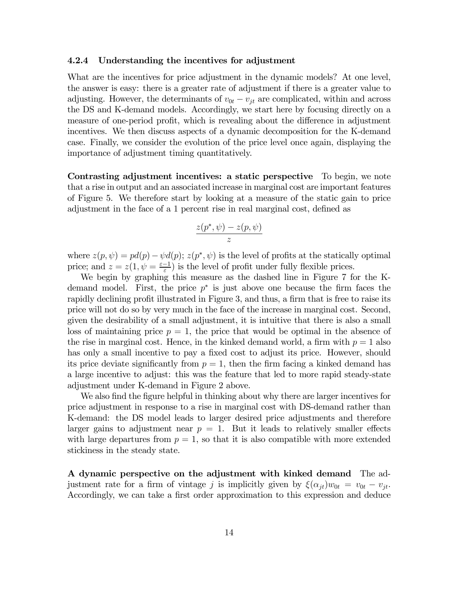#### 4.2.4 Understanding the incentives for adjustment

What are the incentives for price adjustment in the dynamic models? At one level, the answer is easy: there is a greater rate of adjustment if there is a greater value to adjusting. However, the determinants of  $v_{0t} - v_{jt}$  are complicated, within and across the DS and K-demand models. Accordingly, we start here by focusing directly on a measure of one-period profit, which is revealing about the difference in adjustment incentives. We then discuss aspects of a dynamic decomposition for the K-demand case. Finally, we consider the evolution of the price level once again, displaying the importance of adjustment timing quantitatively.

Contrasting adjustment incentives: a static perspective To begin, we note that a rise in output and an associated increase in marginal cost are important features of Figure 5. We therefore start by looking at a measure of the static gain to price adjustment in the face of a 1 percent rise in real marginal cost, defined as

$$
\frac{z(p^*,\psi)-z(p,\psi)}{z}
$$

where  $z(p, \psi) = pd(p) - \psi d(p)$ ;  $z(p^*, \psi)$  is the level of profits at the statically optimal price; and  $z = z(1, \psi = \frac{\varepsilon - 1}{\varepsilon})$  is the level of profit under fully flexible prices.

We begin by graphing this measure as the dashed line in Figure 7 for the Kdemand model. First, the price  $p^*$  is just above one because the firm faces the rapidly declining profit illustrated in Figure 3, and thus, a firm that is free to raise its price will not do so by very much in the face of the increase in marginal cost. Second, given the desirability of a small adjustment, it is intuitive that there is also a small loss of maintaining price  $p = 1$ , the price that would be optimal in the absence of the rise in marginal cost. Hence, in the kinked demand world, a firm with  $p = 1$  also has only a small incentive to pay a fixed cost to adjust its price. However, should its price deviate significantly from  $p = 1$ , then the firm facing a kinked demand has a large incentive to adjust: this was the feature that led to more rapid steady-state adjustment under K-demand in Figure 2 above.

We also find the figure helpful in thinking about why there are larger incentives for price adjustment in response to a rise in marginal cost with DS-demand rather than K-demand: the DS model leads to larger desired price adjustments and therefore larger gains to adjustment near  $p = 1$ . But it leads to relatively smaller effects with large departures from  $p = 1$ , so that it is also compatible with more extended stickiness in the steady state.

A dynamic perspective on the adjustment with kinked demand The adjustment rate for a firm of vintage j is implicitly given by  $\xi(\alpha_{jt})w_{0t} = v_{0t} - v_{jt}$ . Accordingly, we can take a first order approximation to this expression and deduce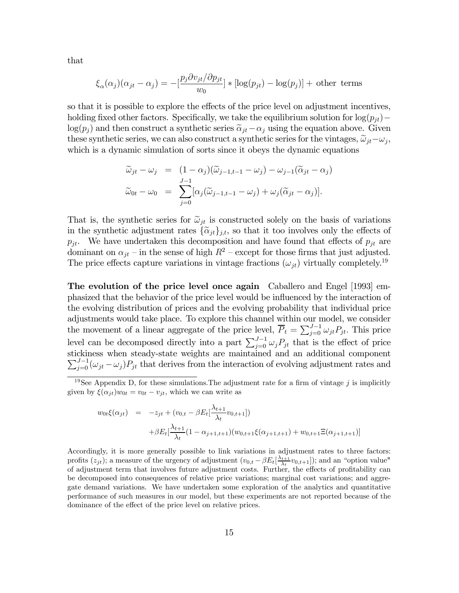that

$$
\xi_{\alpha}(\alpha_j)(\alpha_{jt} - \alpha_j) = -\left[\frac{p_j \partial v_{jt}}{w_0}\right] * \left[\log(p_{jt}) - \log(p_j)\right] + \text{other terms}
$$

so that it is possible to explore the effects of the price level on adjustment incentives, holding fixed other factors. Specifically, we take the equilibrium solution for  $log(p_{it})$ − log( $p_j$ ) and then construct a synthetic series  $\tilde{\alpha}_{jt}-\alpha_j$  using the equation above. Given these synthetic series, we can also construct a synthetic series for the vintages,  $\tilde{\omega}_{jt}-\omega_j$ , which is a dynamic simulation of sorts since it obeys the dynamic equations

$$
\widetilde{\omega}_{jt} - \omega_j = (1 - \alpha_j)(\widetilde{\omega}_{j-1,t-1} - \omega_j) - \omega_{j-1}(\widetilde{\alpha}_{jt} - \alpha_j)
$$
  

$$
\widetilde{\omega}_{0t} - \omega_0 = \sum_{j=0}^{J-1} [\alpha_j(\widetilde{\omega}_{j-1,t-1} - \omega_j) + \omega_j(\widetilde{\alpha}_{jt} - \alpha_j)].
$$

That is, the synthetic series for  $\tilde{\omega}_{jt}$  is constructed solely on the basis of variations in the synthetic adjustment rates  $\{\tilde{\alpha}_{jt}\}_{j,t}$ , so that it too involves only the effects of  $p_{jt}$ . We have undertaken this decomposition and have found that effects of  $p_{jt}$  are dominant on  $\alpha_{jt}$  – in the sense of high  $R^2$  – except for those firms that just adjusted. The price effects capture variations in vintage fractions  $(\omega_{jt})$  virtually completely.<sup>19</sup>

The evolution of the price level once again Caballero and Engel (1993) emphasized that the behavior of the price level would be influenced by the interaction of the evolving distribution of prices and the evolving probability that individual price adjustments would take place. To explore this channel within our model, we consider the movement of a linear aggregate of the price level,  $\overline{P}_t = \sum_{j=0}^{J-1} \omega_{jt} P_{jt}$ . This price level can be decomposed directly into a part  $\sum_{j=0}^{J-1} \omega_j P_{jt}$  that is the effect of price stickiness when steady-state weights are maintained and an additional component  $\sum_{j=0}^{J-1} (\omega_{jt} - \omega_j) P_{jt}$  that derives from the interaction of evolving adjustment rates and

$$
w_{0t}\xi(\alpha_{jt}) = -z_{jt} + (v_{0,t} - \beta E_t[\frac{\lambda_{t+1}}{\lambda_t}v_{0,t+1}])
$$
  
+ $\beta E_t[\frac{\lambda_{t+1}}{\lambda_t}(1 - \alpha_{j+1,t+1})(w_{0,t+1}\xi(\alpha_{j+1,t+1}) + w_{0,t+1}\Xi(\alpha_{j+1,t+1})])$ 

Accordingly, it is more generally possible to link variations in adjustment rates to three factors: profits  $(z_{jt})$ ; a measure of the urgency of adjustment  $(v_{0,t} - \beta E_t[\frac{\lambda_{t+1}}{\lambda_t}v_{0,t+1}])$ ; and an "option value" of adjustment term that involves future adjustment costs. Further, the effects of profitability can be decomposed into consequences of relative price variations; marginal cost variations; and aggregate demand variations. We have undertaken some exploration of the analytics and quantitative performance of such measures in our model, but these experiments are not reported because of the dominance of the effect of the price level on relative prices.

<sup>&</sup>lt;sup>19</sup>See Appendix D, for these simulations. The adjustment rate for a firm of vintage j is implicitly given by  $\xi(\alpha_{jt})w_{0t} = v_{0t} - v_{jt}$ , which we can write as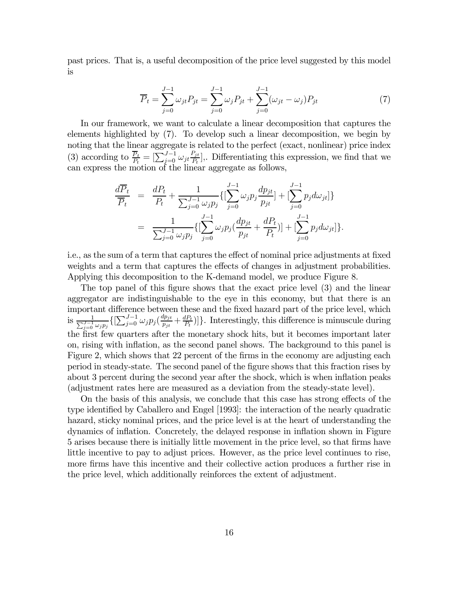past prices. That is, a useful decomposition of the price level suggested by this model is

$$
\overline{P}_t = \sum_{j=0}^{J-1} \omega_{jt} P_{jt} = \sum_{j=0}^{J-1} \omega_j P_{jt} + \sum_{j=0}^{J-1} (\omega_{jt} - \omega_j) P_{jt}
$$
\n(7)

In our framework, we want to calculate a linear decomposition that captures the elements highlighted by (7). To develop such a linear decomposition, we begin by noting that the linear aggregate is related to the perfect (exact, nonlinear) price index (3) according to  $\frac{\overline{P}_t}{P_t} = \left[\sum_{j=0}^{J-1} \omega_{jt} \frac{P_{jt}}{P_t}\right]$ . Differentiating this expression, we find that we can express the motion of the linear aggregate as follows,

$$
\frac{d\overline{P}_t}{\overline{P}_t} = \frac{dP_t}{P_t} + \frac{1}{\sum_{j=0}^{J-1} \omega_j p_j} \{ [\sum_{j=0}^{J-1} \omega_j p_j \frac{dp_{jt}}{p_{jt}}] + [\sum_{j=0}^{J-1} p_j d\omega_{jt}] \}
$$
  
\n
$$
= \frac{1}{\sum_{j=0}^{J-1} \omega_j p_j} \{ [\sum_{j=0}^{J-1} \omega_j p_j (\frac{dp_{jt}}{p_{jt}} + \frac{dP_t}{P_t})] + [\sum_{j=0}^{J-1} p_j d\omega_{jt}] \}.
$$

i.e., as the sum of a term that captures the effect of nominal price adjustments at fixed weights and a term that captures the effects of changes in adjustment probabilities. Applying this decomposition to the K-demand model, we produce Figure 8.

The top panel of this figure shows that the exact price level (3) and the linear aggregator are indistinguishable to the eye in this economy, but that there is an important difference between these and the fixed hazard part of the price level, which is  $\frac{1}{\sum_{i=0}^{J-1}}$  $\frac{1}{J-1} \overline{\omega_j p_j} \{ [\sum_{j=0}^{J-1} \omega_j p_j (\frac{dp_{jt}}{p_{jt}}$  $\frac{dp_{jt}}{p_{jt}} + \frac{dP_t}{P_t}$ ]. Interestingly, this difference is minuscule during the first few quarters after the monetary shock hits, but it becomes important later on, rising with inflation, as the second panel shows. The background to this panel is Figure 2, which shows that 22 percent of the firms in the economy are adjusting each period in steady-state. The second panel of the figure shows that this fraction rises by about 3 percent during the second year after the shock, which is when inflation peaks (adjustment rates here are measured as a deviation from the steady-state level).

On the basis of this analysis, we conclude that this case has strong effects of the type identified by Caballero and Engel [1993]: the interaction of the nearly quadratic hazard, sticky nominal prices, and the price level is at the heart of understanding the dynamics of inflation. Concretely, the delayed response in inflation shown in Figure 5 arises because there is initially little movement in the price level, so that firms have little incentive to pay to adjust prices. However, as the price level continues to rise, more firms have this incentive and their collective action produces a further rise in the price level, which additionally reinforces the extent of adjustment.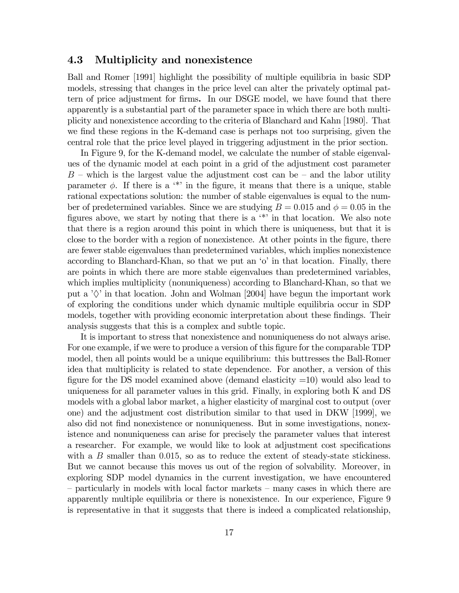### 4.3 Multiplicity and nonexistence

Ball and Romer [1991] highlight the possibility of multiple equilibria in basic SDP models, stressing that changes in the price level can alter the privately optimal pattern of price adjustment for firms. In our DSGE model, we have found that there apparently is a substantial part of the parameter space in which there are both multiplicity and nonexistence according to the criteria of Blanchard and Kahn [1980]. That we find these regions in the K-demand case is perhaps not too surprising, given the central role that the price level played in triggering adjustment in the prior section.

In Figure 9, for the K-demand model, we calculate the number of stable eigenvalues of the dynamic model at each point in a grid of the adjustment cost parameter  $B$  – which is the largest value the adjustment cost can be – and the labor utility parameter  $\phi$ . If there is a '\*' in the figure, it means that there is a unique, stable rational expectations solution: the number of stable eigenvalues is equal to the number of predetermined variables. Since we are studying  $B = 0.015$  and  $\phi = 0.05$  in the figures above, we start by noting that there is a '\*' in that location. We also note that there is a region around this point in which there is uniqueness, but that it is close to the border with a region of nonexistence. At other points in the figure, there are fewer stable eigenvalues than predetermined variables, which implies nonexistence according to Blanchard-Khan, so that we put an 'o' in that location. Finally, there are points in which there are more stable eigenvalues than predetermined variables, which implies multiplicity (nonuniqueness) according to Blanchard-Khan, so that we put a  $\Diamond$  in that location. John and Wolman [2004] have begun the important work of exploring the conditions under which dynamic multiple equilibria occur in SDP models, together with providing economic interpretation about these findings. Their analysis suggests that this is a complex and subtle topic.

It is important to stress that nonexistence and nonuniqueness do not always arise. For one example, if we were to produce a version of this figure for the comparable TDP model, then all points would be a unique equilibrium: this buttresses the Ball-Romer idea that multiplicity is related to state dependence. For another, a version of this figure for the DS model examined above (demand elasticity  $=10$ ) would also lead to uniqueness for all parameter values in this grid. Finally, in exploring both K and DS models with a global labor market, a higher elasticity of marginal cost to output (over one) and the adjustment cost distribution similar to that used in DKW [1999], we also did not find nonexistence or nonuniqueness. But in some investigations, nonexistence and nonuniqueness can arise for precisely the parameter values that interest a researcher. For example, we would like to look at adjustment cost specifications with a  $B$  smaller than 0.015, so as to reduce the extent of steady-state stickiness. But we cannot because this moves us out of the region of solvability. Moreover, in exploring SDP model dynamics in the current investigation, we have encountered — particularly in models with local factor markets — many cases in which there are apparently multiple equilibria or there is nonexistence. In our experience, Figure 9 is representative in that it suggests that there is indeed a complicated relationship,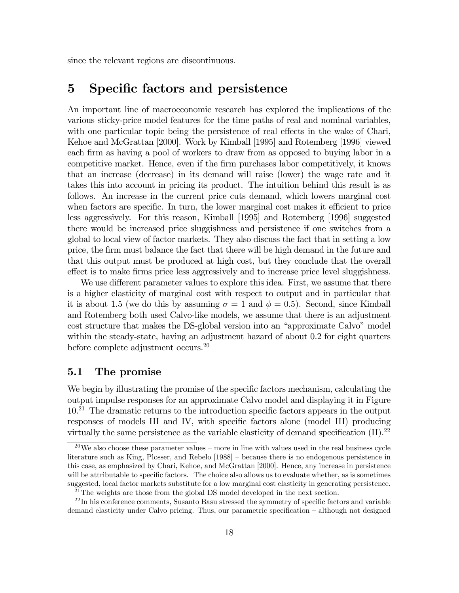since the relevant regions are discontinuous.

# 5 Specific factors and persistence

An important line of macroeconomic research has explored the implications of the various sticky-price model features for the time paths of real and nominal variables, with one particular topic being the persistence of real effects in the wake of Chari, Kehoe and McGrattan [2000]. Work by Kimball [1995] and Rotemberg [1996] viewed each firm as having a pool of workers to draw from as opposed to buying labor in a competitive market. Hence, even if the firm purchases labor competitively, it knows that an increase (decrease) in its demand will raise (lower) the wage rate and it takes this into account in pricing its product. The intuition behind this result is as follows. An increase in the current price cuts demand, which lowers marginal cost when factors are specific. In turn, the lower marginal cost makes it efficient to price less aggressively. For this reason, Kimball [1995] and Rotemberg [1996] suggested there would be increased price sluggishness and persistence if one switches from a global to local view of factor markets. They also discuss the fact that in setting a low price, the firm must balance the fact that there will be high demand in the future and that this output must be produced at high cost, but they conclude that the overall effect is to make firms price less aggressively and to increase price level sluggishness.

We use different parameter values to explore this idea. First, we assume that there is a higher elasticity of marginal cost with respect to output and in particular that it is about 1.5 (we do this by assuming  $\sigma = 1$  and  $\phi = 0.5$ ). Second, since Kimball and Rotemberg both used Calvo-like models, we assume that there is an adjustment cost structure that makes the DS-global version into an "approximate Calvo" model within the steady-state, having an adjustment hazard of about 0.2 for eight quarters before complete adjustment occurs.20

### 5.1 The promise

We begin by illustrating the promise of the specific factors mechanism, calculating the output impulse responses for an approximate Calvo model and displaying it in Figure 10.21 The dramatic returns to the introduction specific factors appears in the output responses of models III and IV, with specific factors alone (model III) producing virtually the same persistence as the variable elasticity of demand specification  $(II).^{22}$ 

 $^{20}$ We also choose these parameter values – more in line with values used in the real business cycle literature such as King, Plosser, and Rebelo [1988] — because there is no endogenous persistence in this case, as emphasized by Chari, Kehoe, and McGrattan [2000]. Hence, any increase in persistence will be attributable to specific factors. The choice also allows us to evaluate whether, as is sometimes suggested, local factor markets substitute for a low marginal cost elasticity in generating persistence.

 $^{21}$ The weights are those from the global DS model developed in the next section.

 $22$ In his conference comments, Susanto Basu stressed the symmetry of specific factors and variable demand elasticity under Calvo pricing. Thus, our parametric specification — although not designed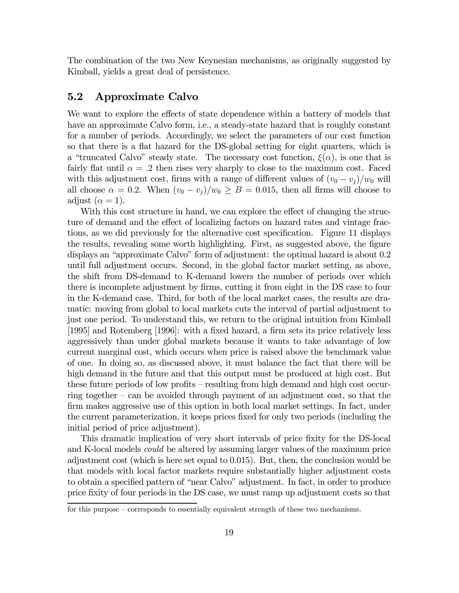The combination of the two New Keynesian mechanisms, as originally suggested by Kimball, yields a great deal of persistence.

### 5.2 Approximate Calvo

We want to explore the effects of state dependence within a battery of models that have an approximate Calvo form, i.e., a steady-state hazard that is roughly constant for a number of periods. Accordingly, we select the parameters of our cost function so that there is a flat hazard for the DS-global setting for eight quarters, which is a "truncated Calvo" steady state. The necessary cost function,  $\xi(\alpha)$ , is one that is fairly flat until  $\alpha = .2$  then rises very sharply to close to the maximum cost. Faced with this adjustment cost, firms with a range of different values of  $(v_0 - v_j)/w_0$  will all choose  $\alpha = 0.2$ . When  $(v_0 - v_j)/w_0 \ge B = 0.015$ , then all firms will choose to adjust  $(\alpha = 1)$ .

With this cost structure in hand, we can explore the effect of changing the structure of demand and the effect of localizing factors on hazard rates and vintage fractions, as we did previously for the alternative cost specification. Figure 11 displays the results, revealing some worth highlighting. First, as suggested above, the figure displays an "approximate Calvo" form of adjustment: the optimal hazard is about 0.2 until full adjustment occurs. Second, in the global factor market setting, as above, the shift from DS-demand to K-demand lowers the number of periods over which there is incomplete adjustment by firms, cutting it from eight in the DS case to four in the K-demand case. Third, for both of the local market cases, the results are dramatic: moving from global to local markets cuts the interval of partial adjustment to just one period. To understand this, we return to the original intuition from Kimball [1995] and Rotemberg [1996]: with a fixed hazard, a firm sets its price relatively less aggressively than under global markets because it wants to take advantage of low current marginal cost, which occurs when price is raised above the benchmark value of one. In doing so, as discussed above, it must balance the fact that there will be high demand in the future and that this output must be produced at high cost. But these future periods of low profits — resulting from high demand and high cost occurring together — can be avoided through payment of an adjustment cost, so that the firm makes aggressive use of this option in both local market settings. In fact, under the current parameterization, it keeps prices fixed for only two periods (including the initial period of price adjustment).

This dramatic implication of very short intervals of price fixity for the DS-local and K-local models could be altered by assuming larger values of the maximum price adjustment cost (which is here set equal to 0.015). But, then, the conclusion would be that models with local factor markets require substantially higher adjustment costs to obtain a specified pattern of "near Calvo" adjustment. In fact, in order to produce price fixity of four periods in the DS case, we must ramp up adjustment costs so that

for this purpose — corresponds to essentially equivalent strength of these two mechanisms.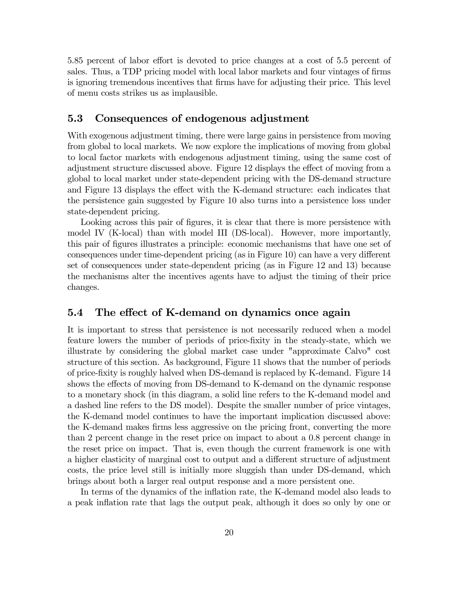5.85 percent of labor effort is devoted to price changes at a cost of 5.5 percent of sales. Thus, a TDP pricing model with local labor markets and four vintages of firms is ignoring tremendous incentives that firms have for adjusting their price. This level of menu costs strikes us as implausible.

### 5.3 Consequences of endogenous adjustment

With exogenous adjustment timing, there were large gains in persistence from moving from global to local markets. We now explore the implications of moving from global to local factor markets with endogenous adjustment timing, using the same cost of adjustment structure discussed above. Figure 12 displays the effect of moving from a global to local market under state-dependent pricing with the DS-demand structure and Figure 13 displays the effect with the K-demand structure: each indicates that the persistence gain suggested by Figure 10 also turns into a persistence loss under state-dependent pricing.

Looking across this pair of figures, it is clear that there is more persistence with model IV (K-local) than with model III (DS-local). However, more importantly, this pair of figures illustrates a principle: economic mechanisms that have one set of consequences under time-dependent pricing (as in Figure 10) can have a very different set of consequences under state-dependent pricing (as in Figure 12 and 13) because the mechanisms alter the incentives agents have to adjust the timing of their price changes.

### 5.4 The effect of K-demand on dynamics once again

It is important to stress that persistence is not necessarily reduced when a model feature lowers the number of periods of price-fixity in the steady-state, which we illustrate by considering the global market case under "approximate Calvo" cost structure of this section. As background, Figure 11 shows that the number of periods of price-fixity is roughly halved when DS-demand is replaced by K-demand. Figure 14 shows the effects of moving from DS-demand to K-demand on the dynamic response to a monetary shock (in this diagram, a solid line refers to the K-demand model and a dashed line refers to the DS model). Despite the smaller number of price vintages, the K-demand model continues to have the important implication discussed above: the K-demand makes firms less aggressive on the pricing front, converting the more than 2 percent change in the reset price on impact to about a 0.8 percent change in the reset price on impact. That is, even though the current framework is one with a higher elasticity of marginal cost to output and a different structure of adjustment costs, the price level still is initially more sluggish than under DS-demand, which brings about both a larger real output response and a more persistent one.

In terms of the dynamics of the inflation rate, the K-demand model also leads to a peak inflation rate that lags the output peak, although it does so only by one or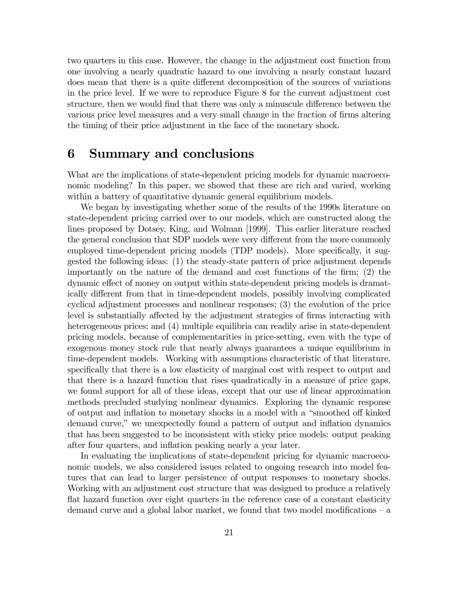two quarters in this case. However, the change in the adjustment cost function from one involving a nearly quadratic hazard to one involving a nearly constant hazard does mean that there is a quite different decomposition of the sources of variations in the price level. If we were to reproduce Figure 8 for the current adjustment cost structure, then we would find that there was only a minuscule difference between the various price level measures and a very small change in the fraction of firms altering the timing of their price adjustment in the face of the monetary shock.

# 6 Summary and conclusions

What are the implications of state-dependent pricing models for dynamic macroeconomic modeling? In this paper, we showed that these are rich and varied, working within a battery of quantitative dynamic general equilibrium models.

We began by investigating whether some of the results of the 1990s literature on state-dependent pricing carried over to our models, which are constructed along the lines proposed by Dotsey, King, and Wolman [1999]. This earlier literature reached the general conclusion that SDP models were very different from the more commonly employed time-dependent pricing models (TDP models). More specifically, it suggested the following ideas: (1) the steady-state pattern of price adjustment depends importantly on the nature of the demand and cost functions of the firm; (2) the dynamic effect of money on output within state-dependent pricing models is dramatically different from that in time-dependent models, possibly involving complicated cyclical adjustment processes and nonlinear responses; (3) the evolution of the price level is substantially affected by the adjustment strategies of firms interacting with heterogeneous prices; and (4) multiple equilibria can readily arise in state-dependent pricing models, because of complementarities in price-setting, even with the type of exogenous money stock rule that nearly always guarantees a unique equilibrium in time-dependent models. Working with assumptions characteristic of that literature, specifically that there is a low elasticity of marginal cost with respect to output and that there is a hazard function that rises quadratically in a measure of price gaps, we found support for all of these ideas, except that our use of linear approximation methods precluded studying nonlinear dynamics. Exploring the dynamic response of output and inflation to monetary shocks in a model with a "smoothed off kinked demand curve," we unexpectedly found a pattern of output and inflation dynamics that has been suggested to be inconsistent with sticky price models: output peaking after four quarters, and inflation peaking nearly a year later.

In evaluating the implications of state-dependent pricing for dynamic macroeconomic models, we also considered issues related to ongoing research into model features that can lead to larger persistence of output responses to monetary shocks. Working with an adjustment cost structure that was designed to produce a relatively flat hazard function over eight quarters in the reference case of a constant elasticity demand curve and a global labor market, we found that two model modifications — a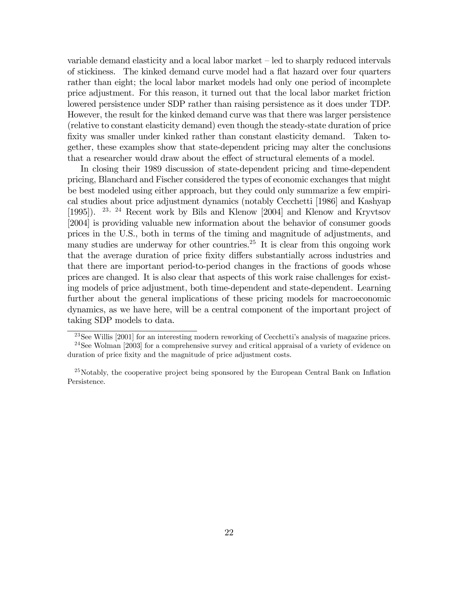variable demand elasticity and a local labor market — led to sharply reduced intervals of stickiness. The kinked demand curve model had a flat hazard over four quarters rather than eight; the local labor market models had only one period of incomplete price adjustment. For this reason, it turned out that the local labor market friction lowered persistence under SDP rather than raising persistence as it does under TDP. However, the result for the kinked demand curve was that there was larger persistence (relative to constant elasticity demand) even though the steady-state duration of price fixity was smaller under kinked rather than constant elasticity demand. Taken together, these examples show that state-dependent pricing may alter the conclusions that a researcher would draw about the effect of structural elements of a model.

In closing their 1989 discussion of state-dependent pricing and time-dependent pricing, Blanchard and Fischer considered the types of economic exchanges that might be best modeled using either approach, but they could only summarize a few empirical studies about price adjustment dynamics (notably Cecchetti [1986] and Kashyap [1995]). <sup>23</sup>, <sup>24</sup> Recent work by Bils and Klenow [2004] and Klenow and Kryvtsov [2004] is providing valuable new information about the behavior of consumer goods prices in the U.S., both in terms of the timing and magnitude of adjustments, and many studies are underway for other countries.<sup>25</sup> It is clear from this ongoing work that the average duration of price fixity differs substantially across industries and that there are important period-to-period changes in the fractions of goods whose prices are changed. It is also clear that aspects of this work raise challenges for existing models of price adjustment, both time-dependent and state-dependent. Learning further about the general implications of these pricing models for macroeconomic dynamics, as we have here, will be a central component of the important project of taking SDP models to data.

<sup>23</sup>See Willis [2001] for an interesting modern reworking of Cecchetti's analysis of magazine prices. 24See Wolman [2003] for a comprehensive survey and critical appraisal of a variety of evidence on duration of price fixity and the magnitude of price adjustment costs.

 $^{25}$ Notably, the cooperative project being sponsored by the European Central Bank on Inflation Persistence.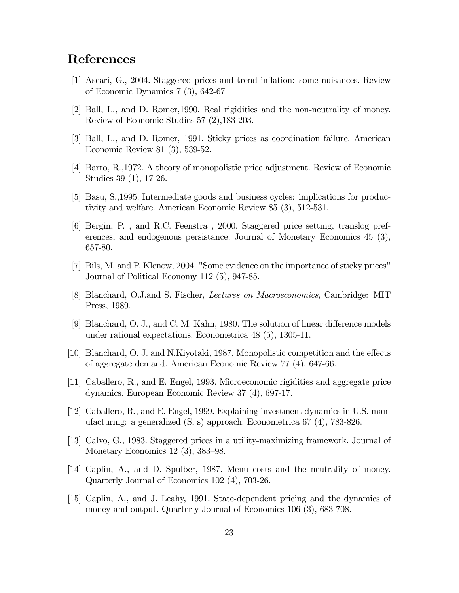# References

- [1] Ascari, G., 2004. Staggered prices and trend inflation: some nuisances. Review of Economic Dynamics 7 (3), 642-67
- [2] Ball, L., and D. Romer,1990. Real rigidities and the non-neutrality of money. Review of Economic Studies 57 (2),183-203.
- [3] Ball, L., and D. Romer, 1991. Sticky prices as coordination failure. American Economic Review 81 (3), 539-52.
- [4] Barro, R.,1972. A theory of monopolistic price adjustment. Review of Economic Studies 39 (1), 17-26.
- [5] Basu, S.,1995. Intermediate goods and business cycles: implications for productivity and welfare. American Economic Review 85 (3), 512-531.
- [6] Bergin, P. , and R.C. Feenstra , 2000. Staggered price setting, translog preferences, and endogenous persistance. Journal of Monetary Economics 45 (3), 657-80.
- [7] Bils, M. and P. Klenow, 2004. "Some evidence on the importance of sticky prices" Journal of Political Economy 112 (5), 947-85.
- [8] Blanchard, O.J.and S. Fischer, Lectures on Macroeconomics, Cambridge: MIT Press, 1989.
- [9] Blanchard, O. J., and C. M. Kahn, 1980. The solution of linear difference models under rational expectations. Econometrica 48 (5), 1305-11.
- [10] Blanchard, O. J. and N.Kiyotaki, 1987. Monopolistic competition and the effects of aggregate demand. American Economic Review 77 (4), 647-66.
- [11] Caballero, R., and E. Engel, 1993. Microeconomic rigidities and aggregate price dynamics. European Economic Review 37 (4), 697-17.
- [12] Caballero, R., and E. Engel, 1999. Explaining investment dynamics in U.S. manufacturing: a generalized (S, s) approach. Econometrica 67 (4), 783-826.
- [13] Calvo, G., 1983. Staggered prices in a utility-maximizing framework. Journal of Monetary Economics 12 (3), 383—98.
- [14] Caplin, A., and D. Spulber, 1987. Menu costs and the neutrality of money. Quarterly Journal of Economics 102 (4), 703-26.
- [15] Caplin, A., and J. Leahy, 1991. State-dependent pricing and the dynamics of money and output. Quarterly Journal of Economics 106 (3), 683-708.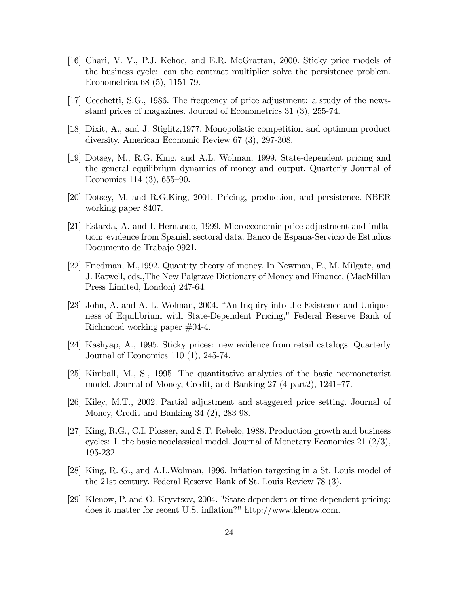- [16] Chari, V. V., P.J. Kehoe, and E.R. McGrattan, 2000. Sticky price models of the business cycle: can the contract multiplier solve the persistence problem. Econometrica 68 (5), 1151-79.
- [17] Cecchetti, S.G., 1986. The frequency of price adjustment: a study of the newsstand prices of magazines. Journal of Econometrics 31 (3), 255-74.
- [18] Dixit, A., and J. Stiglitz,1977. Monopolistic competition and optimum product diversity. American Economic Review 67 (3), 297-308.
- [19] Dotsey, M., R.G. King, and A.L. Wolman, 1999. State-dependent pricing and the general equilibrium dynamics of money and output. Quarterly Journal of Economics 114 (3), 655—90.
- [20] Dotsey, M. and R.G.King, 2001. Pricing, production, and persistence. NBER working paper 8407.
- [21] Estarda, A. and I. Hernando, 1999. Microeconomic price adjustment and imflation: evidence from Spanish sectoral data. Banco de Espana-Servicio de Estudios Documento de Trabajo 9921.
- [22] Friedman, M.,1992. Quantity theory of money. In Newman, P., M. Milgate, and J. Eatwell, eds.,The New Palgrave Dictionary of Money and Finance, (MacMillan Press Limited, London) 247-64.
- [23] John, A. and A. L. Wolman, 2004. "An Inquiry into the Existence and Uniqueness of Equilibrium with State-Dependent Pricing," Federal Reserve Bank of Richmond working paper #04-4.
- [24] Kashyap, A., 1995. Sticky prices: new evidence from retail catalogs. Quarterly Journal of Economics 110 (1), 245-74.
- [25] Kimball, M., S., 1995. The quantitative analytics of the basic neomonetarist model. Journal of Money, Credit, and Banking 27 (4 part2), 1241—77.
- [26] Kiley, M.T., 2002. Partial adjustment and staggered price setting. Journal of Money, Credit and Banking 34 (2), 283-98.
- [27] King, R.G., C.I. Plosser, and S.T. Rebelo, 1988. Production growth and business cycles: I. the basic neoclassical model. Journal of Monetary Economics 21 (2/3), 195-232.
- [28] King, R. G., and A.L.Wolman, 1996. Inflation targeting in a St. Louis model of the 21st century. Federal Reserve Bank of St. Louis Review 78 (3).
- [29] Klenow, P. and O. Kryvtsov, 2004. "State-dependent or time-dependent pricing: does it matter for recent U.S. inflation?" http://www.klenow.com.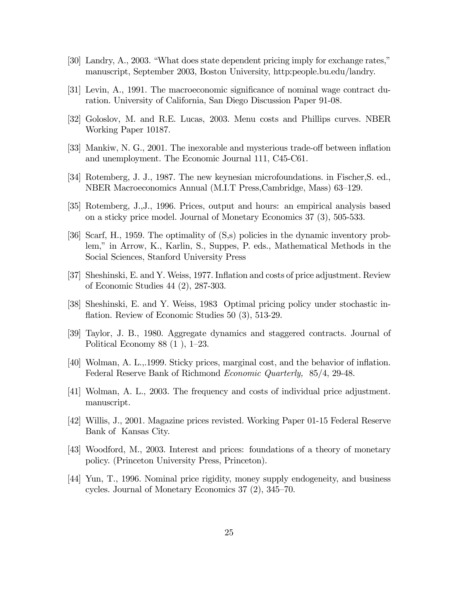- [30] Landry, A., 2003. "What does state dependent pricing imply for exchange rates," manuscript, September 2003, Boston University, http:people.bu.edu/landry.
- [31] Levin, A., 1991. The macroeconomic significance of nominal wage contract duration. University of California, San Diego Discussion Paper 91-08.
- [32] Goloslov, M. and R.E. Lucas, 2003. Menu costs and Phillips curves. NBER Working Paper 10187.
- [33] Mankiw, N. G., 2001. The inexorable and mysterious trade-off between inflation and unemployment. The Economic Journal 111, C45-C61.
- [34] Rotemberg, J. J., 1987. The new keynesian microfoundations. in Fischer,S. ed., NBER Macroeconomics Annual (M.I.T Press,Cambridge, Mass) 63—129.
- [35] Rotemberg, J.,J., 1996. Prices, output and hours: an empirical analysis based on a sticky price model. Journal of Monetary Economics 37 (3), 505-533.
- [36] Scarf, H., 1959. The optimality of (S,s) policies in the dynamic inventory problem," in Arrow, K., Karlin, S., Suppes, P. eds., Mathematical Methods in the Social Sciences, Stanford University Press
- [37] Sheshinski, E. and Y. Weiss, 1977. Inflation and costs of price adjustment. Review of Economic Studies 44 (2), 287-303.
- [38] Sheshinski, E. and Y. Weiss, 1983 Optimal pricing policy under stochastic inflation. Review of Economic Studies 50 (3), 513-29.
- [39] Taylor, J. B., 1980. Aggregate dynamics and staggered contracts. Journal of Political Economy 88 (1 ), 1—23.
- [40] Wolman, A. L.,.1999. Sticky prices, marginal cost, and the behavior of inflation. Federal Reserve Bank of Richmond Economic Quarterly, 85/4, 29-48.
- [41] Wolman, A. L., 2003. The frequency and costs of individual price adjustment. manuscript.
- [42] Willis, J., 2001. Magazine prices revisted. Working Paper 01-15 Federal Reserve Bank of Kansas City.
- [43] Woodford, M., 2003. Interest and prices: foundations of a theory of monetary policy. (Princeton University Press, Princeton).
- [44] Yun, T., 1996. Nominal price rigidity, money supply endogeneity, and business cycles. Journal of Monetary Economics 37 (2), 345—70.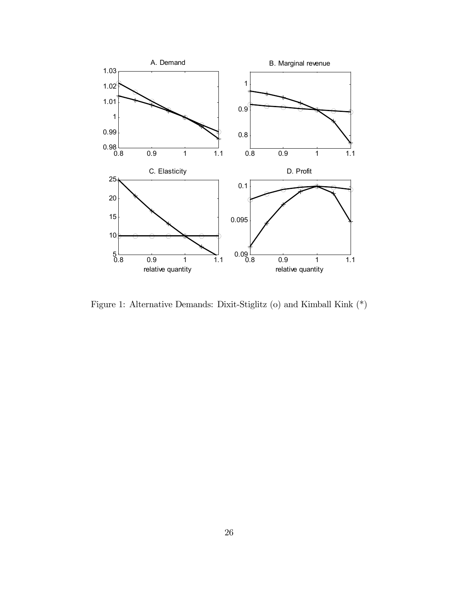

Figure 1: Alternative Demands: Dixit-Stiglitz (o) and Kimball Kink (\*)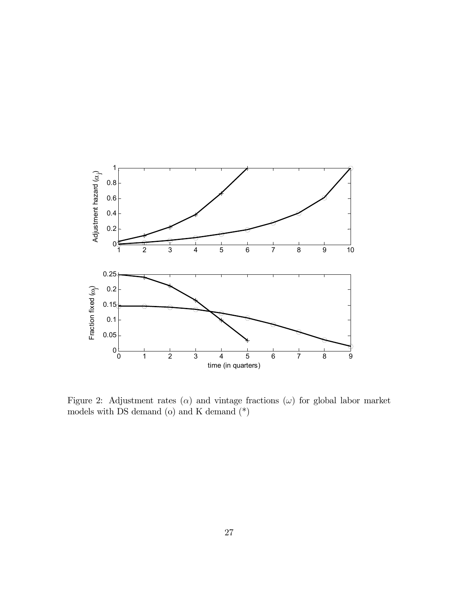

Figure 2: Adjustment rates  $(\alpha)$  and vintage fractions  $(\omega)$  for global labor market models with DS demand (o) and K demand  $(\text{\text{*}})$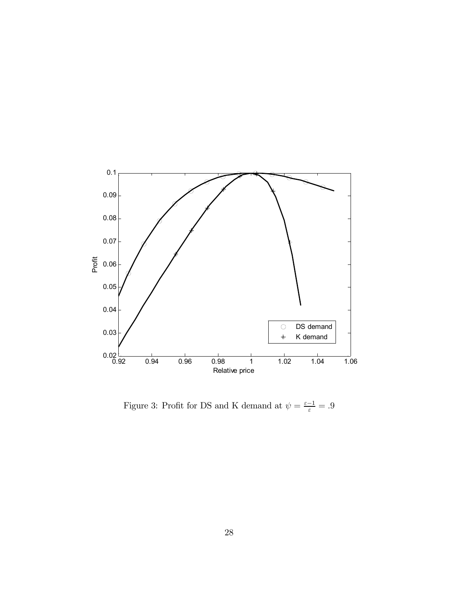

Figure 3: Profit for DS and K demand at  $\psi = \frac{\varepsilon - 1}{\varepsilon} = .9$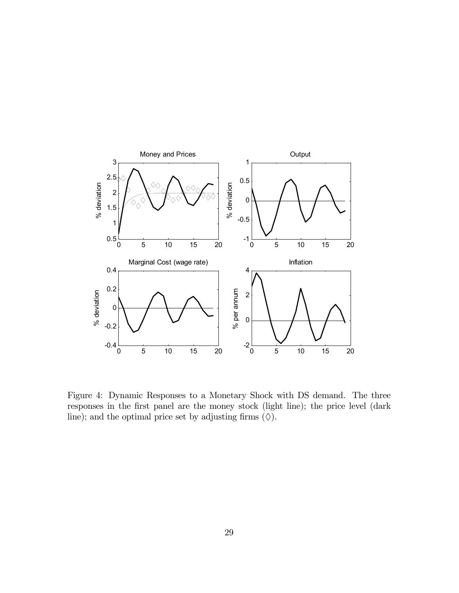

Figure 4: Dynamic Responses to a Monetary Shock with DS demand. The three responses in the first panel are the money stock (light line); the price level (dark line); and the optimal price set by adjusting firms  $(\Diamond).$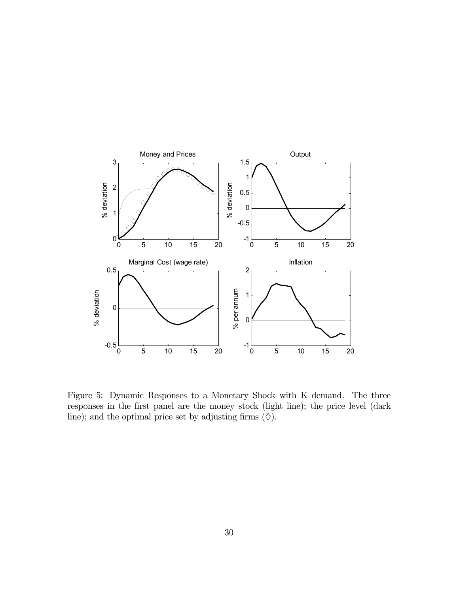

Figure 5: Dynamic Responses to a Monetary Shock with K demand. The three responses in the first panel are the money stock (light line); the price level (dark line); and the optimal price set by adjusting firms  $(\Diamond).$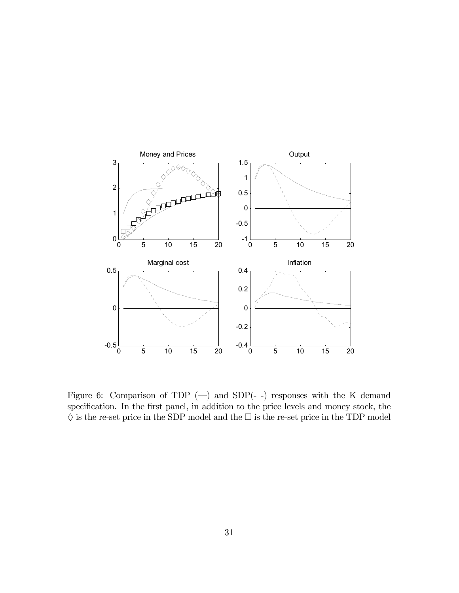

Figure 6: Comparison of TDP  $(-)$  and SDP $(-)$  responses with the K demand specification. In the first panel, in addition to the price levels and money stock, the  $\diamondsuit$  is the re-set price in the SDP model and the  $\square$  is the re-set price in the TDP model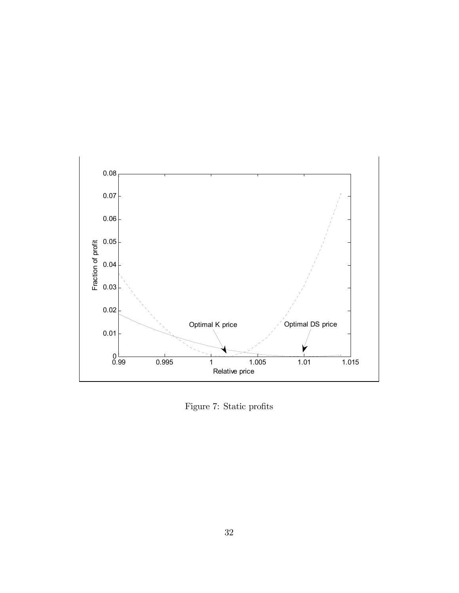

Figure 7: Static profits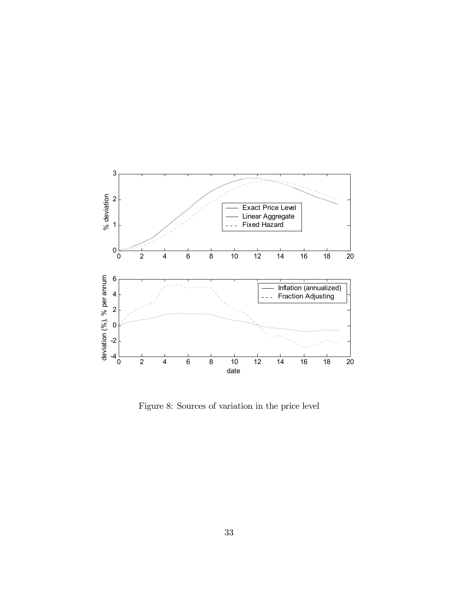

Figure 8: Sources of variation in the price level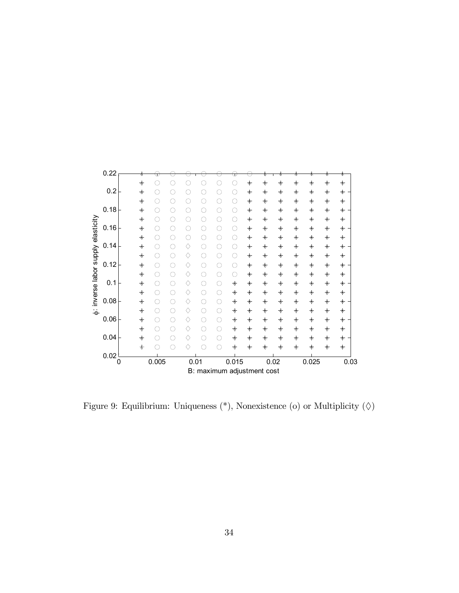

Figure 9: Equilibrium: Uniqueness  $(*)$ , Nonexistence (o) or Multiplicity  $(\Diamond)$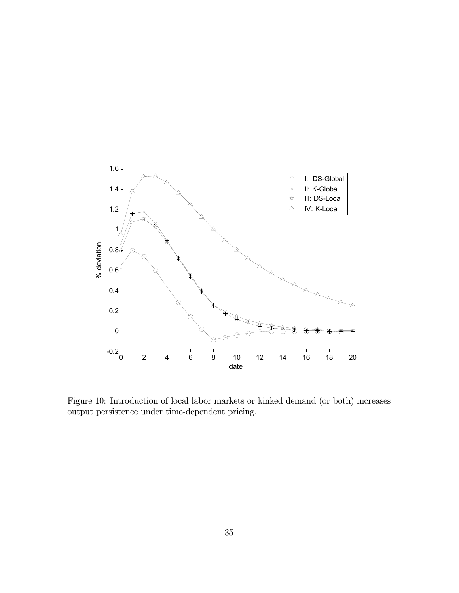

Figure 10: Introduction of local labor markets or kinked demand (or both) increases output persistence under time-dependent pricing.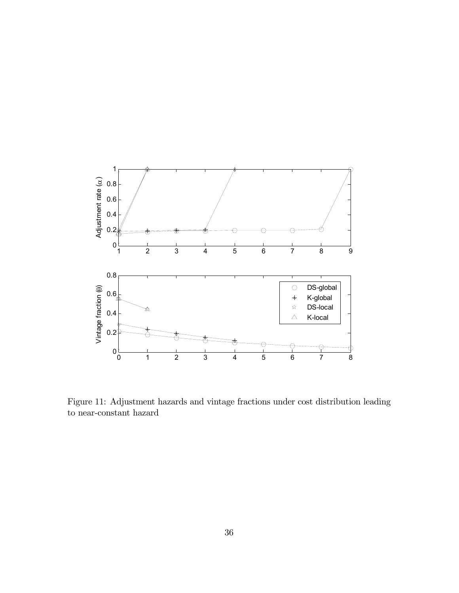

Figure 11: Adjustment hazards and vintage fractions under cost distribution leading to near-constant hazard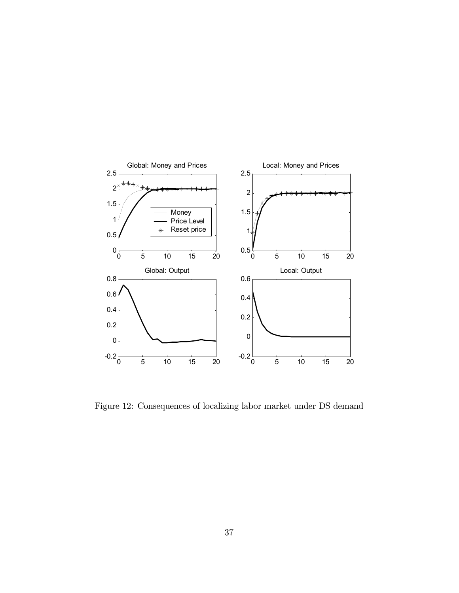

Figure 12: Consequences of localizing labor market under DS demand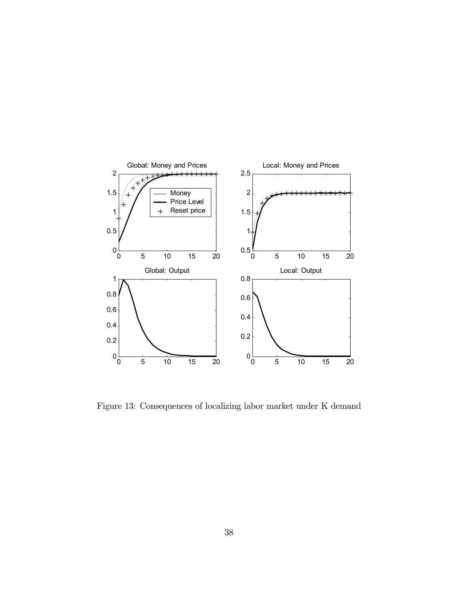

Figure 13: Consequences of localizing labor market under K demand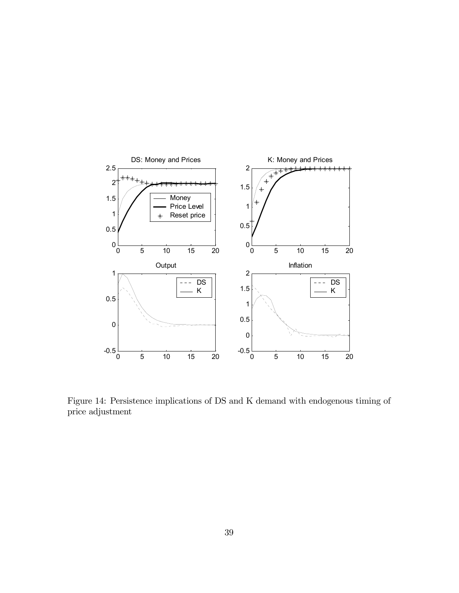

Figure 14: Persistence implications of DS and K demand with endogenous timing of price adjustment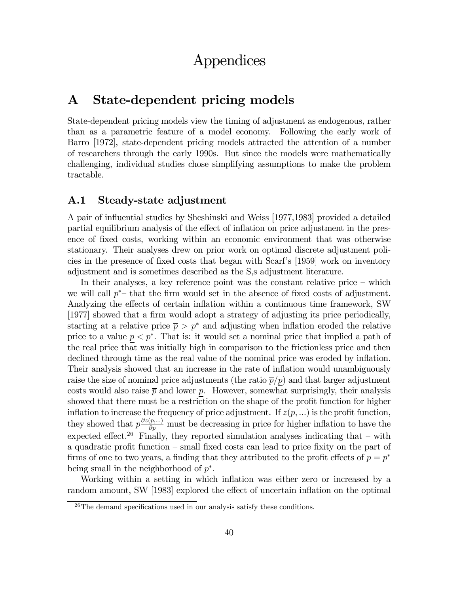# Appendices

# A State-dependent pricing models

State-dependent pricing models view the timing of adjustment as endogenous, rather than as a parametric feature of a model economy. Following the early work of Barro [1972], state-dependent pricing models attracted the attention of a number of researchers through the early 1990s. But since the models were mathematically challenging, individual studies chose simplifying assumptions to make the problem tractable.

### A.1 Steady-state adjustment

A pair of influential studies by Sheshinski and Weiss [1977,1983] provided a detailed partial equilibrium analysis of the effect of inflation on price adjustment in the presence of fixed costs, working within an economic environment that was otherwise stationary. Their analyses drew on prior work on optimal discrete adjustment policies in the presence of fixed costs that began with Scarf's [1959] work on inventory adjustment and is sometimes described as the S,s adjustment literature.

In their analyses, a key reference point was the constant relative price — which we will call  $p^*$ – that the firm would set in the absence of fixed costs of adjustment. Analyzing the effects of certain inflation within a continuous time framework, SW [1977] showed that a firm would adopt a strategy of adjusting its price periodically, starting at a relative price  $\bar{p} > p^*$  and adjusting when inflation eroded the relative price to a value  $p < p^*$ . That is: it would set a nominal price that implied a path of the real price that was initially high in comparison to the frictionless price and then declined through time as the real value of the nominal price was eroded by inflation. Their analysis showed that an increase in the rate of inflation would unambiguously raise the size of nominal price adjustments (the ratio  $\overline{p}/p$ ) and that larger adjustment costs would also raise  $\bar{p}$  and lower p. However, somewhat surprisingly, their analysis showed that there must be a restriction on the shape of the profit function for higher inflation to increase the frequency of price adjustment. If  $z(p, \ldots)$  is the profit function, they showed that  $p\frac{\partial z(p,...)}{\partial p}$  must be decreasing in price for higher inflation to have the expected effect.<sup>26</sup> Finally, they reported simulation analyses indicating that – with a quadratic profit function — small fixed costs can lead to price fixity on the part of firms of one to two years, a finding that they attributed to the profit effects of  $p = p^*$ being small in the neighborhood of  $p^*$ .

Working within a setting in which inflation was either zero or increased by a random amount, SW [1983] explored the effect of uncertain inflation on the optimal

<sup>&</sup>lt;sup>26</sup>The demand specifications used in our analysis satisfy these conditions.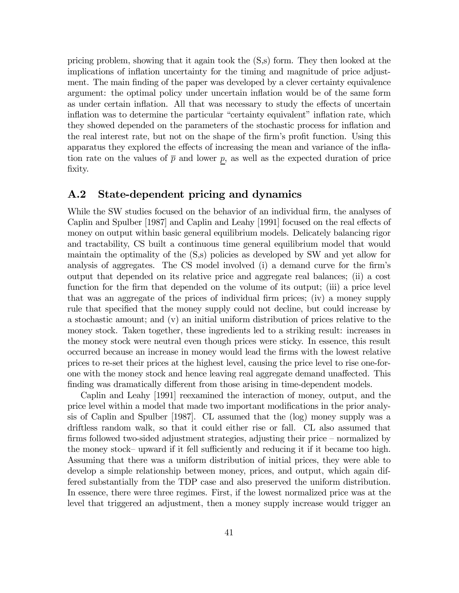pricing problem, showing that it again took the (S,s) form. They then looked at the implications of inflation uncertainty for the timing and magnitude of price adjustment. The main finding of the paper was developed by a clever certainty equivalence argument: the optimal policy under uncertain inflation would be of the same form as under certain inflation. All that was necessary to study the effects of uncertain inflation was to determine the particular "certainty equivalent" inflation rate, which they showed depended on the parameters of the stochastic process for inflation and the real interest rate, but not on the shape of the firm's profit function. Using this apparatus they explored the effects of increasing the mean and variance of the inflation rate on the values of  $\bar{p}$  and lower p, as well as the expected duration of price fixity.

### A.2 State-dependent pricing and dynamics

While the SW studies focused on the behavior of an individual firm, the analyses of Caplin and Spulber [1987] and Caplin and Leahy [1991] focused on the real effects of money on output within basic general equilibrium models. Delicately balancing rigor and tractability, CS built a continuous time general equilibrium model that would maintain the optimality of the (S,s) policies as developed by SW and yet allow for analysis of aggregates. The CS model involved (i) a demand curve for the firm's output that depended on its relative price and aggregate real balances; (ii) a cost function for the firm that depended on the volume of its output; (iii) a price level that was an aggregate of the prices of individual firm prices; (iv) a money supply rule that specified that the money supply could not decline, but could increase by a stochastic amount; and (v) an initial uniform distribution of prices relative to the money stock. Taken together, these ingredients led to a striking result: increases in the money stock were neutral even though prices were sticky. In essence, this result occurred because an increase in money would lead the firms with the lowest relative prices to re-set their prices at the highest level, causing the price level to rise one-forone with the money stock and hence leaving real aggregate demand unaffected. This finding was dramatically different from those arising in time-dependent models.

Caplin and Leahy [1991] reexamined the interaction of money, output, and the price level within a model that made two important modifications in the prior analysis of Caplin and Spulber [1987]. CL assumed that the (log) money supply was a driftless random walk, so that it could either rise or fall. CL also assumed that firms followed two-sided adjustment strategies, adjusting their price — normalized by the money stock— upward if it fell sufficiently and reducing it if it became too high. Assuming that there was a uniform distribution of initial prices, they were able to develop a simple relationship between money, prices, and output, which again differed substantially from the TDP case and also preserved the uniform distribution. In essence, there were three regimes. First, if the lowest normalized price was at the level that triggered an adjustment, then a money supply increase would trigger an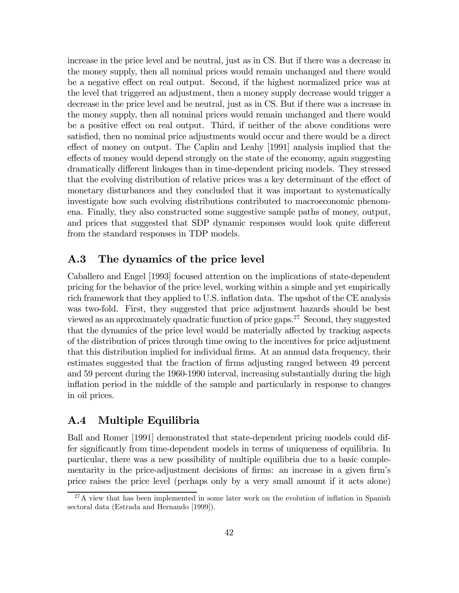increase in the price level and be neutral, just as in CS. But if there was a decrease in the money supply, then all nominal prices would remain unchanged and there would be a negative effect on real output. Second, if the highest normalized price was at the level that triggered an adjustment, then a money supply decrease would trigger a decrease in the price level and be neutral, just as in CS. But if there was a increase in the money supply, then all nominal prices would remain unchanged and there would be a positive effect on real output. Third, if neither of the above conditions were satisfied, then no nominal price adjustments would occur and there would be a direct effect of money on output. The Caplin and Leahy [1991] analysis implied that the effects of money would depend strongly on the state of the economy, again suggesting dramatically different linkages than in time-dependent pricing models. They stressed that the evolving distribution of relative prices was a key determinant of the effect of monetary disturbances and they concluded that it was important to systematically investigate how such evolving distributions contributed to macroeconomic phenomena. Finally, they also constructed some suggestive sample paths of money, output, and prices that suggested that SDP dynamic responses would look quite different from the standard responses in TDP models.

### A.3 The dynamics of the price level

Caballero and Engel [1993] focused attention on the implications of state-dependent pricing for the behavior of the price level, working within a simple and yet empirically rich framework that they applied to U.S. inflation data. The upshot of the CE analysis was two-fold. First, they suggested that price adjustment hazards should be best viewed as an approximately quadratic function of price gaps.27 Second, they suggested that the dynamics of the price level would be materially affected by tracking aspects of the distribution of prices through time owing to the incentives for price adjustment that this distribution implied for individual firms. At an annual data frequency, their estimates suggested that the fraction of firms adjusting ranged between 49 percent and 59 percent during the 1960-1990 interval, increasing substantially during the high inflation period in the middle of the sample and particularly in response to changes in oil prices.

### A.4 Multiple Equilibria

Ball and Romer [1991] demonstrated that state-dependent pricing models could differ significantly from time-dependent models in terms of uniqueness of equilibria. In particular, there was a new possibility of multiple equilibria due to a basic complementarity in the price-adjustment decisions of firms: an increase in a given firm's price raises the price level (perhaps only by a very small amount if it acts alone)

 $^{27}$ A view that has been implemented in some later work on the evolution of inflation in Spanish sectoral data (Estrada and Hernando [1999]).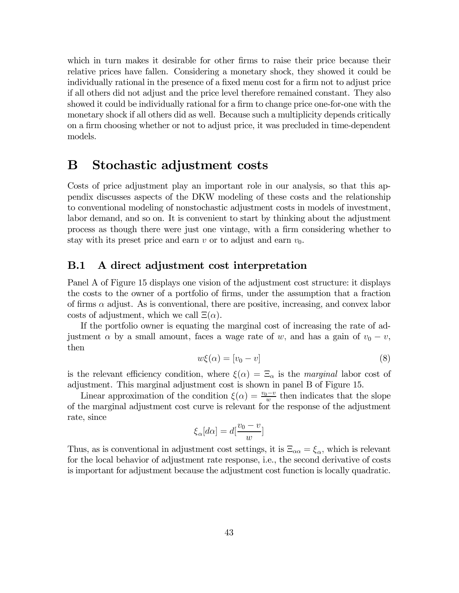which in turn makes it desirable for other firms to raise their price because their relative prices have fallen. Considering a monetary shock, they showed it could be individually rational in the presence of a fixed menu cost for a firm not to adjust price if all others did not adjust and the price level therefore remained constant. They also showed it could be individually rational for a firm to change price one-for-one with the monetary shock if all others did as well. Because such a multiplicity depends critically on a firm choosing whether or not to adjust price, it was precluded in time-dependent models.

# B Stochastic adjustment costs

Costs of price adjustment play an important role in our analysis, so that this appendix discusses aspects of the DKW modeling of these costs and the relationship to conventional modeling of nonstochastic adjustment costs in models of investment, labor demand, and so on. It is convenient to start by thinking about the adjustment process as though there were just one vintage, with a firm considering whether to stay with its preset price and earn v or to adjust and earn  $v_0$ .

### B.1 A direct adjustment cost interpretation

Panel A of Figure 15 displays one vision of the adjustment cost structure: it displays the costs to the owner of a portfolio of firms, under the assumption that a fraction of firms  $\alpha$  adjust. As is conventional, there are positive, increasing, and convex labor costs of adjustment, which we call  $\Xi(\alpha)$ .

If the portfolio owner is equating the marginal cost of increasing the rate of adjustment  $\alpha$  by a small amount, faces a wage rate of w, and has a gain of  $v_0 - v$ , then

$$
w\xi(\alpha) = [v_0 - v]
$$
\n(8)

is the relevant efficiency condition, where  $\xi(\alpha) = \Xi_{\alpha}$  is the marginal labor cost of adjustment. This marginal adjustment cost is shown in panel B of Figure 15.

Linear approximation of the condition  $\xi(\alpha) = \frac{v_0 - v}{w}$  then indicates that the slope of the marginal adjustment cost curve is relevant for the response of the adjustment rate, since

$$
\xi_{\alpha}[d\alpha] = d\left[\frac{v_0 - v}{w}\right]
$$

Thus, as is conventional in adjustment cost settings, it is  $\Xi_{\alpha\alpha} = \xi_{\alpha}$ , which is relevant for the local behavior of adjustment rate response, i.e., the second derivative of costs is important for adjustment because the adjustment cost function is locally quadratic.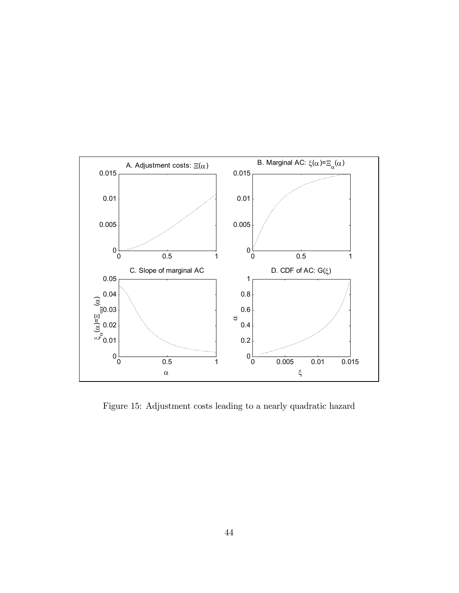

Figure 15: Adjustment costs leading to a nearly quadratic hazard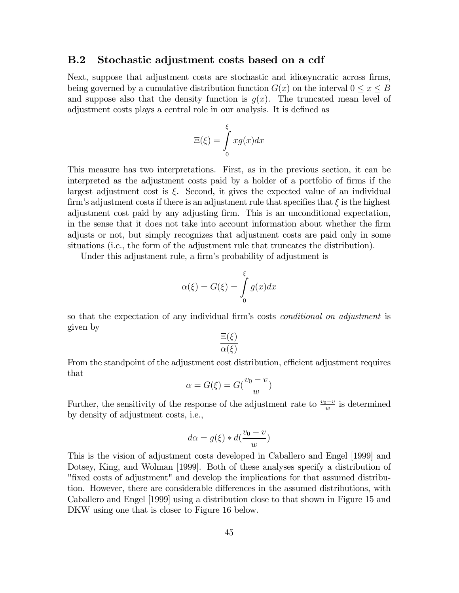#### B.2 Stochastic adjustment costs based on a cdf

Next, suppose that adjustment costs are stochastic and idiosyncratic across firms, being governed by a cumulative distribution function  $G(x)$  on the interval  $0 \le x \le B$ and suppose also that the density function is  $q(x)$ . The truncated mean level of adjustment costs plays a central role in our analysis. It is defined as

$$
\Xi(\xi) = \int_{0}^{\xi} xg(x)dx
$$

This measure has two interpretations. First, as in the previous section, it can be interpreted as the adjustment costs paid by a holder of a portfolio of firms if the largest adjustment cost is  $\xi$ . Second, it gives the expected value of an individual firm's adjustment costs if there is an adjustment rule that specifies that  $\xi$  is the highest adjustment cost paid by any adjusting firm. This is an unconditional expectation, in the sense that it does not take into account information about whether the firm adjusts or not, but simply recognizes that adjustment costs are paid only in some situations (i.e., the form of the adjustment rule that truncates the distribution).

Under this adjustment rule, a firm's probability of adjustment is

$$
\alpha(\xi) = G(\xi) = \int_{0}^{\xi} g(x) dx
$$

so that the expectation of any individual firm's costs conditional on adjustment is given by

$$
\frac{\Xi(\xi)}{\alpha(\xi)}
$$

From the standpoint of the adjustment cost distribution, efficient adjustment requires that

$$
\alpha = G(\xi) = G(\frac{v_0 - v}{w})
$$

Further, the sensitivity of the response of the adjustment rate to  $\frac{v_0 - v}{w}$  is determined by density of adjustment costs, i.e.,

$$
d\alpha = g(\xi) * d(\frac{v_0 - v}{w})
$$

This is the vision of adjustment costs developed in Caballero and Engel [1999] and Dotsey, King, and Wolman [1999]. Both of these analyses specify a distribution of "fixed costs of adjustment" and develop the implications for that assumed distribution. However, there are considerable differences in the assumed distributions, with Caballero and Engel [1999] using a distribution close to that shown in Figure 15 and DKW using one that is closer to Figure 16 below.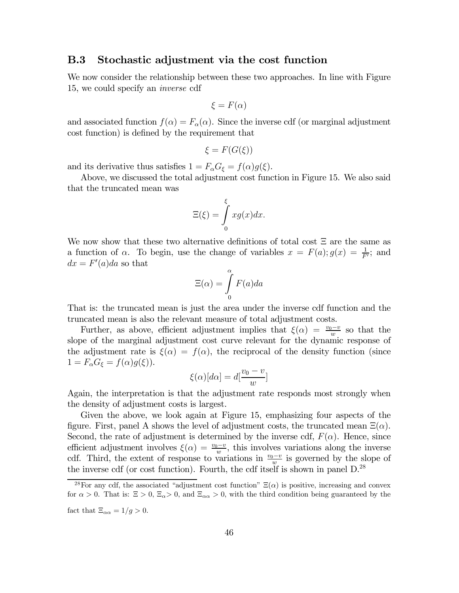#### B.3 Stochastic adjustment via the cost function

We now consider the relationship between these two approaches. In line with Figure 15, we could specify an inverse cdf

$$
\xi = F(\alpha)
$$

and associated function  $f(\alpha) = F_{\alpha}(\alpha)$ . Since the inverse cdf (or marginal adjustment cost function) is defined by the requirement that

$$
\xi = F(G(\xi))
$$

and its derivative thus satisfies  $1 = F_{\alpha}G_{\xi} = f(\alpha)g(\xi)$ .

Above, we discussed the total adjustment cost function in Figure 15. We also said that the truncated mean was

$$
\Xi(\xi) = \int_{0}^{\xi} xg(x)dx.
$$

We now show that these two alternative definitions of total cost Ξ are the same as a function of  $\alpha$ . To begin, use the change of variables  $x = F(a); g(x) = \frac{1}{F'};$  and  $dx = F'(a)da$  so that

$$
\Xi(\alpha) = \int_{0}^{\alpha} F(a)da
$$

That is: the truncated mean is just the area under the inverse cdf function and the truncated mean is also the relevant measure of total adjustment costs.

Further, as above, efficient adjustment implies that  $\xi(\alpha) = \frac{v_0 - v}{w}$  so that the slope of the marginal adjustment cost curve relevant for the dynamic response of the adjustment rate is  $\xi(\alpha) = f(\alpha)$ , the reciprocal of the density function (since  $1 = F_\alpha G_\xi = f(\alpha)g(\xi)$ .

$$
\xi(\alpha)[d\alpha] = d\left[\frac{v_0 - v}{w}\right]
$$

Again, the interpretation is that the adjustment rate responds most strongly when the density of adjustment costs is largest.

Given the above, we look again at Figure 15, emphasizing four aspects of the figure. First, panel A shows the level of adjustment costs, the truncated mean  $\Xi(\alpha)$ . Second, the rate of adjustment is determined by the inverse cdf,  $F(\alpha)$ . Hence, since efficient adjustment involves  $\xi(\alpha) = \frac{v_0 - v}{w}$ , this involves variations along the inverse cdf. Third, the extent of response to variations in  $\frac{v_0-v}{w}$  is governed by the slope of the inverse cdf (or cost function). Fourth, the cdf itself is shown in panel D.28

<sup>&</sup>lt;sup>28</sup>For any cdf, the associated "adjustment cost function"  $\Xi(\alpha)$  is positive, increasing and convex for  $\alpha > 0$ . That is:  $\Xi > 0$ ,  $\Xi_{\alpha} > 0$ , and  $\Xi_{\alpha} > 0$ , with the third condition being guaranteed by the

fact that  $\Xi_{\alpha\alpha} = 1/g > 0$ .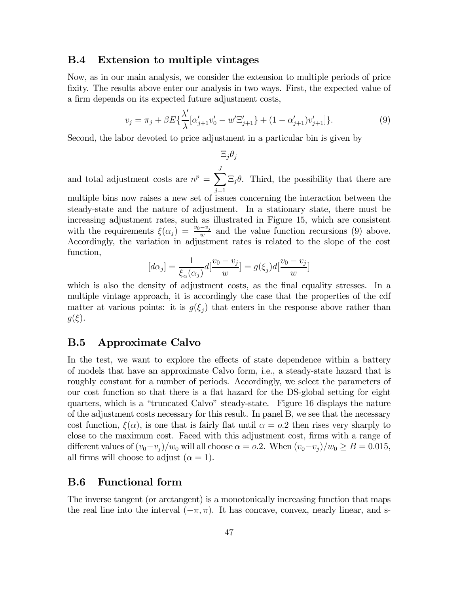#### B.4 Extension to multiple vintages

Now, as in our main analysis, we consider the extension to multiple periods of price fixity. The results above enter our analysis in two ways. First, the expected value of a firm depends on its expected future adjustment costs,

$$
v_j = \pi_j + \beta E\{\frac{\lambda'}{\lambda}[\alpha'_{j+1}v'_0 - w'\Xi'_{j+1}\} + (1 - \alpha'_{j+1})v'_{j+1}]\}.
$$
\n(9)

Second, the labor devoted to price adjustment in a particular bin is given by

$$
\Xi_j\theta_j
$$

and total adjustment costs are  $n^p = \sum_{n=1}^{J}$  $j=1$  $\Xi_j \theta$ . Third, the possibility that there are

multiple bins now raises a new set of issues concerning the interaction between the steady-state and the nature of adjustment. In a stationary state, there must be increasing adjustment rates, such as illustrated in Figure 15, which are consistent with the requirements  $\xi(\alpha_j) = \frac{v_0 - v_j}{w}$  and the value function recursions (9) above. Accordingly, the variation in adjustment rates is related to the slope of the cost function,

$$
[d\alpha_j] = \frac{1}{\xi_\alpha(\alpha_j)} d[\frac{v_0 - v_j}{w}] = g(\xi_j) d[\frac{v_0 - v_j}{w}]
$$

which is also the density of adjustment costs, as the final equality stresses. In a multiple vintage approach, it is accordingly the case that the properties of the cdf matter at various points: it is  $g(\xi_i)$  that enters in the response above rather than  $g(\xi)$ .

### B.5 Approximate Calvo

In the test, we want to explore the effects of state dependence within a battery of models that have an approximate Calvo form, i.e., a steady-state hazard that is roughly constant for a number of periods. Accordingly, we select the parameters of our cost function so that there is a flat hazard for the DS-global setting for eight quarters, which is a "truncated Calvo" steady-state. Figure 16 displays the nature of the adjustment costs necessary for this result. In panel B, we see that the necessary cost function,  $\xi(\alpha)$ , is one that is fairly flat until  $\alpha = 0.2$  then rises very sharply to close to the maximum cost. Faced with this adjustment cost, firms with a range of different values of  $(v_0-v_j)/w_0$  will all choose  $\alpha = 0.2$ . When  $(v_0-v_j)/w_0 \ge B = 0.015$ , all firms will choose to adjust  $(\alpha = 1)$ .

### B.6 Functional form

The inverse tangent (or arctangent) is a monotonically increasing function that maps the real line into the interval  $(-\pi, \pi)$ . It has concave, convex, nearly linear, and s-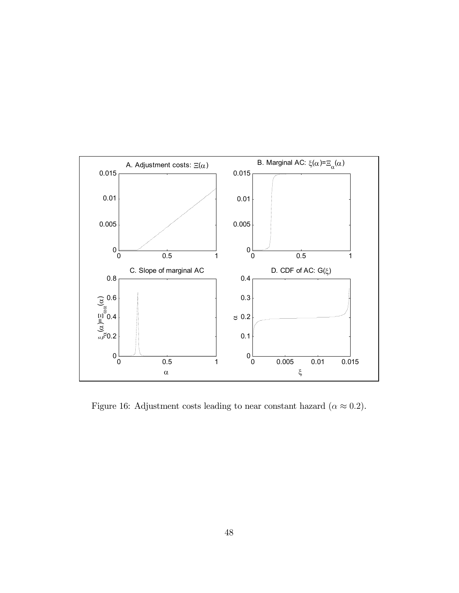

Figure 16: Adjustment costs leading to near constant hazard ( $\alpha \approx 0.2$ ).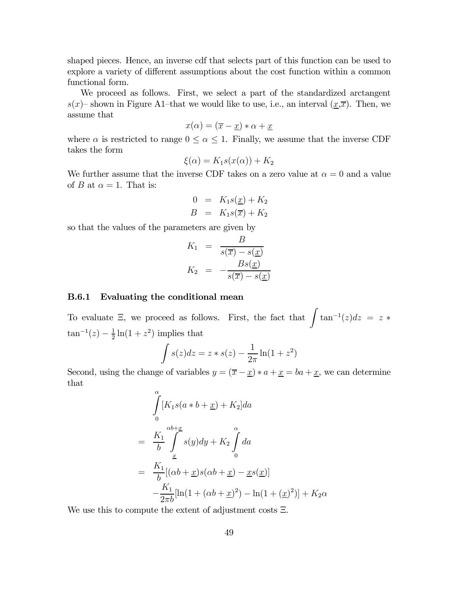shaped pieces. Hence, an inverse cdf that selects part of this function can be used to explore a variety of different assumptions about the cost function within a common functional form.

We proceed as follows. First, we select a part of the standardized arctangent  $s(x)$ – shown in Figure A1–that we would like to use, i.e., an interval  $(x,\overline{x})$ . Then, we assume that

$$
x(\alpha) = (\overline{x} - \underline{x}) * \alpha + \underline{x}
$$

where  $\alpha$  is restricted to range  $0 \leq \alpha \leq 1$ . Finally, we assume that the inverse CDF takes the form

$$
\xi(\alpha) = K_1 s(x(\alpha)) + K_2
$$

We further assume that the inverse CDF takes on a zero value at  $\alpha = 0$  and a value of B at  $\alpha = 1$ . That is:

$$
0 = K_1 s(\underline{x}) + K_2
$$
  

$$
B = K_1 s(\overline{x}) + K_2
$$

so that the values of the parameters are given by

$$
K_1 = \frac{B}{s(\overline{x}) - s(\underline{x})}
$$
  

$$
K_2 = -\frac{Bs(\underline{x})}{s(\overline{x}) - s(\underline{x})}
$$

#### B.6.1 Evaluating the conditional mean

To evaluate  $\Xi$ , we proceed as follows. First, the fact that  $\int \tan^{-1}(z)dz = z *$  $\tan^{-1}(z) - \frac{1}{2}\ln(1+z^2)$  implies that

$$
\int s(z)dz = z * s(z) - \frac{1}{2\pi} \ln(1 + z^2)
$$

Second, using the change of variables  $y = (\overline{x} - \underline{x}) * a + \underline{x} = ba + \underline{x}$ , we can determine that

$$
\int_{0}^{\alpha} [K_1s(a*b+x) + K_2]da
$$
\n
$$
= \frac{K_1}{b} \int_{\underline{x}}^{\alpha b + \underline{x}} s(y)dy + K_2 \int_{0}^{\alpha} da
$$
\n
$$
= \frac{K_1}{b} [(\alpha b + \underline{x})s(\alpha b + \underline{x}) - \underline{x}s(\underline{x})]
$$
\n
$$
- \frac{K_1}{2\pi b} [\ln(1 + (\alpha b + \underline{x})^2) - \ln(1 + (\underline{x})^2)] + K_2 \alpha
$$

We use this to compute the extent of adjustment costs Ξ.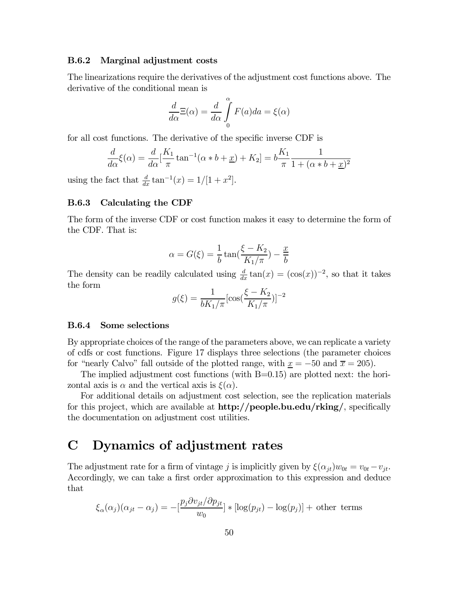#### B.6.2 Marginal adjustment costs

The linearizations require the derivatives of the adjustment cost functions above. The derivative of the conditional mean is

$$
\frac{d}{d\alpha}\Xi(\alpha) = \frac{d}{d\alpha}\int_{0}^{\alpha}F(a)da = \xi(\alpha)
$$

for all cost functions. The derivative of the specific inverse CDF is

$$
\frac{d}{d\alpha}\xi(\alpha) = \frac{d}{d\alpha}[\frac{K_1}{\pi}\tan^{-1}(\alpha * b + \underline{x}) + K_2] = b\frac{K_1}{\pi}\frac{1}{1 + (\alpha * b + \underline{x})^2}
$$

using the fact that  $\frac{d}{dx} \tan^{-1}(x) = 1/[1 + x^2]$ .

#### B.6.3 Calculating the CDF

The form of the inverse CDF or cost function makes it easy to determine the form of the CDF. That is:

$$
\alpha = G(\xi) = \frac{1}{b} \tan\left(\frac{\xi - K_2}{K_1/\pi}\right) - \frac{x}{b}
$$

The density can be readily calculated using  $\frac{d}{dx} \tan(x) = (\cos(x))^{-2}$ , so that it takes the form

$$
g(\xi) = \frac{1}{bK_1/\pi} [\cos(\frac{\xi - K_2}{K_1/\pi})]^{-2}
$$

#### B.6.4 Some selections

By appropriate choices of the range of the parameters above, we can replicate a variety of cdfs or cost functions. Figure 17 displays three selections (the parameter choices for "nearly Calvo" fall outside of the plotted range, with  $x = -50$  and  $\bar{x} = 205$ ).

The implied adjustment cost functions (with B=0.15) are plotted next: the horizontal axis is  $\alpha$  and the vertical axis is  $\xi(\alpha)$ .

For additional details on adjustment cost selection, see the replication materials for this project, which are available at  $\frac{http://people.bu.edu/rking/}{http://people.bu.edu/rking/}{$ , specifically the documentation on adjustment cost utilities.

# C Dynamics of adjustment rates

The adjustment rate for a firm of vintage j is implicitly given by  $\xi(\alpha_{it})w_{0t} = v_{0t} - v_{it}$ . Accordingly, we can take a first order approximation to this expression and deduce that

$$
\xi_{\alpha}(\alpha_j)(\alpha_{jt} - \alpha_j) = -\left[\frac{p_j \partial v_{jt}}{w_0}\right] * \left[\log(p_{jt}) - \log(p_j)\right] + \text{other terms}
$$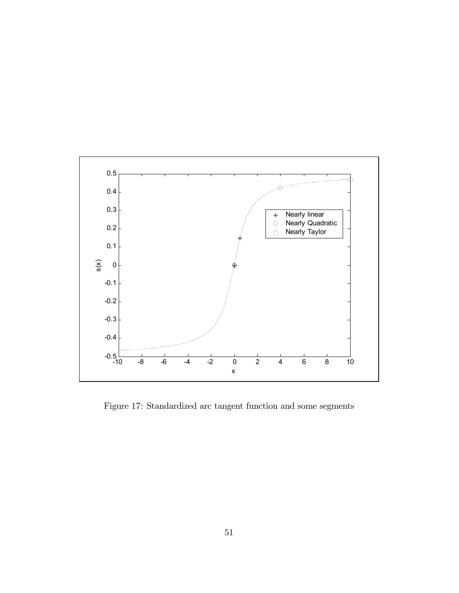

Figure 17: Standardized arc tangent function and some segments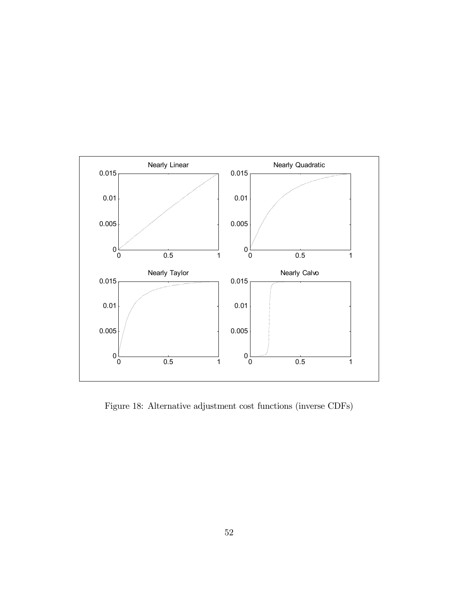

Figure 18: Alternative adjustment cost functions (inverse CDFs)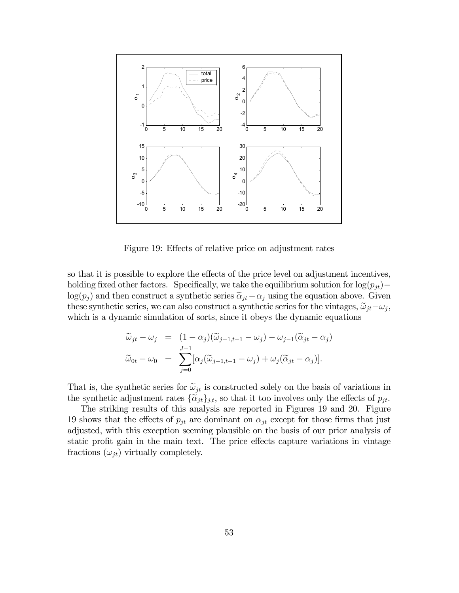

Figure 19: Effects of relative price on adjustment rates

so that it is possible to explore the effects of the price level on adjustment incentives, holding fixed other factors. Specifically, we take the equilibrium solution for  $log(p_{it})$ − log( $p_j$ ) and then construct a synthetic series  $\tilde{\alpha}_{jt}-\alpha_j$  using the equation above. Given these synthetic series, we can also construct a synthetic series for the vintages,  $\tilde{\omega}_{it}-\omega_{i}$ , which is a dynamic simulation of sorts, since it obeys the dynamic equations

$$
\widetilde{\omega}_{jt} - \omega_j = (1 - \alpha_j)(\widetilde{\omega}_{j-1,t-1} - \omega_j) - \omega_{j-1}(\widetilde{\alpha}_{jt} - \alpha_j)
$$
  

$$
\widetilde{\omega}_{0t} - \omega_0 = \sum_{j=0}^{J-1} [\alpha_j(\widetilde{\omega}_{j-1,t-1} - \omega_j) + \omega_j(\widetilde{\alpha}_{jt} - \alpha_j)].
$$

That is, the synthetic series for  $\tilde{\omega}_{jt}$  is constructed solely on the basis of variations in the synthetic adjustment rates  $\{\widetilde{\alpha}_{jt}\}_{j,t}$ , so that it too involves only the effects of  $p_{jt}$ .

The striking results of this analysis are reported in Figures 19 and 20. Figure 19 shows that the effects of  $p_{jt}$  are dominant on  $\alpha_{jt}$  except for those firms that just adjusted, with this exception seeming plausible on the basis of our prior analysis of static profit gain in the main text. The price effects capture variations in vintage fractions  $(\omega_{jt})$  virtually completely.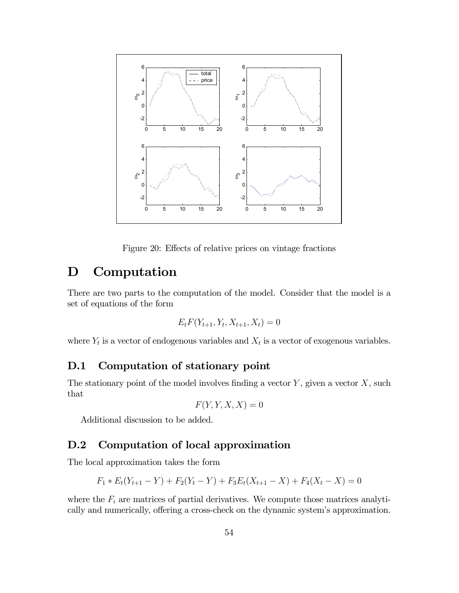

Figure 20: Effects of relative prices on vintage fractions

# D Computation

There are two parts to the computation of the model. Consider that the model is a set of equations of the form

$$
E_t F(Y_{t+1}, Y_t, X_{t+1}, X_t) = 0
$$

where  $Y_t$  is a vector of endogenous variables and  $X_t$  is a vector of exogenous variables.

### D.1 Computation of stationary point

The stationary point of the model involves finding a vector  $Y$ , given a vector  $X$ , such that

$$
F(Y, Y, X, X) = 0
$$

Additional discussion to be added.

## D.2 Computation of local approximation

The local approximation takes the form

$$
F_1 * E_t(Y_{t+1} - Y) + F_2(Y_t - Y) + F_3E_t(X_{t+1} - X) + F_4(X_t - X) = 0
$$

where the  $F_i$  are matrices of partial derivatives. We compute those matrices analytically and numerically, offering a cross-check on the dynamic system's approximation.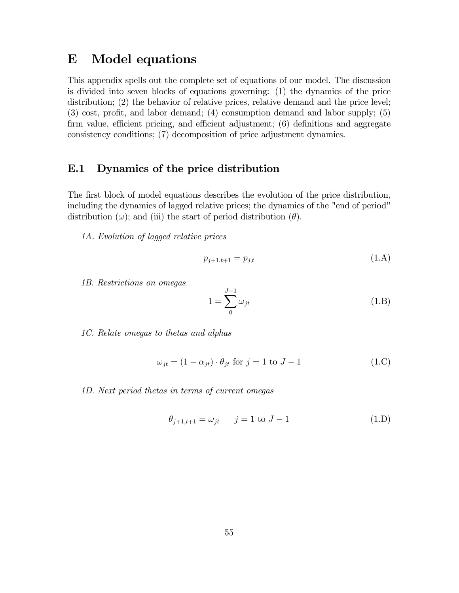# E Model equations

This appendix spells out the complete set of equations of our model. The discussion is divided into seven blocks of equations governing: (1) the dynamics of the price distribution; (2) the behavior of relative prices, relative demand and the price level; (3) cost, profit, and labor demand; (4) consumption demand and labor supply; (5) firm value, efficient pricing, and efficient adjustment; (6) definitions and aggregate consistency conditions; (7) decomposition of price adjustment dynamics.

### E.1 Dynamics of the price distribution

The first block of model equations describes the evolution of the price distribution, including the dynamics of lagged relative prices; the dynamics of the "end of period" distribution  $(\omega)$ ; and (iii) the start of period distribution  $(\theta)$ .

1A. Evolution of lagged relative prices

$$
p_{j+1,t+1} = p_{j,t} \tag{1.A}
$$

1B. Restrictions on omegas

$$
1 = \sum_{0}^{J-1} \omega_{jt} \tag{1.B}
$$

1C. Relate omegas to thetas and alphas

$$
\omega_{jt} = (1 - \alpha_{jt}) \cdot \theta_{jt} \text{ for } j = 1 \text{ to } J - 1 \tag{1.C}
$$

1D. Next period thetas in terms of current omegas

$$
\theta_{j+1,t+1} = \omega_{jt} \qquad j = 1 \text{ to } J-1 \tag{1.D}
$$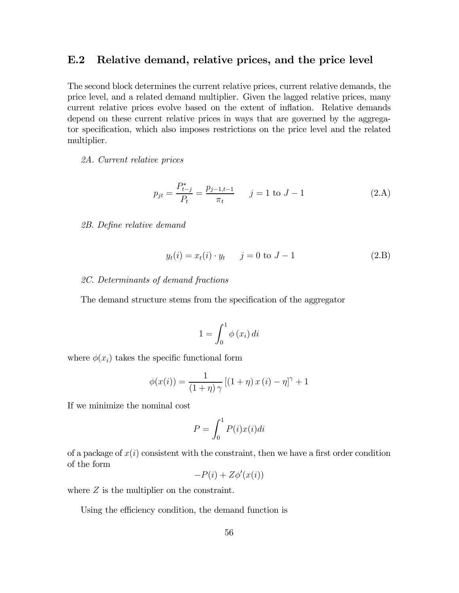### E.2 Relative demand, relative prices, and the price level

The second block determines the current relative prices, current relative demands, the price level, and a related demand multiplier. Given the lagged relative prices, many current relative prices evolve based on the extent of inflation. Relative demands depend on these current relative prices in ways that are governed by the aggregator specification, which also imposes restrictions on the price level and the related multiplier.

#### 2A. Current relative prices

$$
p_{jt} = \frac{P_{t-j}^*}{P_t} = \frac{p_{j-1,t-1}}{\pi_t} \qquad j = 1 \text{ to } J-1
$$
 (2.A)

#### 2B. Define relative demand

$$
y_t(i) = x_t(i) \cdot y_t
$$
  $j = 0$  to  $J - 1$  (2.B)

#### 2C. Determinants of demand fractions

The demand structure stems from the specification of the aggregator

$$
1 = \int_0^1 \phi(x_i) \, di
$$

where  $\phi(x_i)$  takes the specific functional form

$$
\phi(x(i)) = \frac{1}{(1+\eta)\gamma} \left[ (1+\eta)x(i) - \eta \right]^{\gamma} + 1
$$

If we minimize the nominal cost

$$
P = \int_0^1 P(i)x(i)di
$$

of a package of  $x(i)$  consistent with the constraint, then we have a first order condition of the form

$$
-P(i) + Z\phi'(x(i))
$$

where  $Z$  is the multiplier on the constraint.

Using the efficiency condition, the demand function is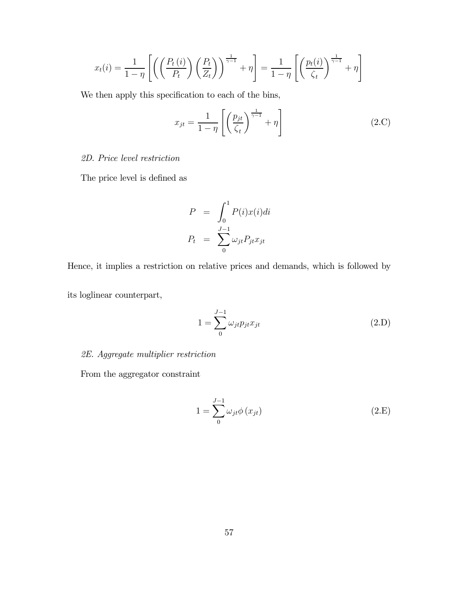$$
x_t(i) = \frac{1}{1-\eta} \left[ \left( \left( \frac{P_t(i)}{P_t} \right) \left( \frac{P_t}{Z_t} \right) \right)^{\frac{1}{\gamma-1}} + \eta \right] = \frac{1}{1-\eta} \left[ \left( \frac{p_t(i)}{\zeta_t} \right)^{\frac{1}{\gamma-1}} + \eta \right]
$$

We then apply this specification to each of the bins,

$$
x_{jt} = \frac{1}{1 - \eta} \left[ \left( \frac{p_{jt}}{\zeta_t} \right)^{\frac{1}{\gamma - 1}} + \eta \right]
$$
 (2.C)

### 2D. Price level restriction

The price level is defined as

$$
P = \int_0^1 P(i)x(i)di
$$

$$
P_t = \sum_0^{J-1} \omega_{jt} P_{jt} x_{jt}
$$

Hence, it implies a restriction on relative prices and demands, which is followed by

its loglinear counterpart,

$$
1 = \sum_{0}^{J-1} \omega_{jt} p_{jt} x_{jt}
$$
\n(2.D)

### 2E. Aggregate multiplier restriction

From the aggregator constraint

$$
1 = \sum_{0}^{J-1} \omega_{jt} \phi \left( x_{jt} \right) \tag{2.E}
$$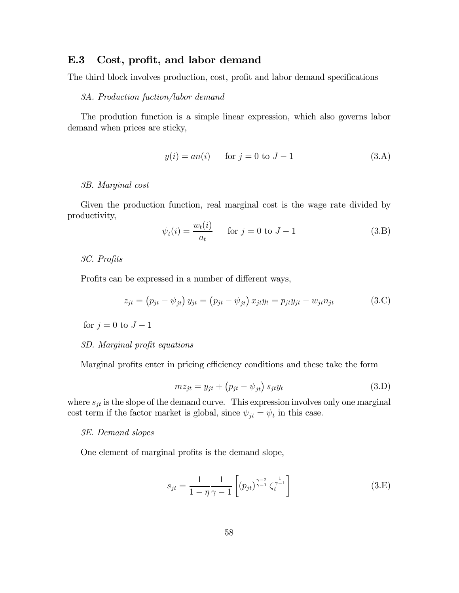### E.3 Cost, profit, and labor demand

The third block involves production, cost, profit and labor demand specifications

#### 3A. Production fuction/labor demand

The prodution function is a simple linear expression, which also governs labor demand when prices are sticky,

$$
y(i) = an(i)
$$
 for  $j = 0$  to  $J - 1$  (3.A)

#### 3B. Marginal cost

Given the production function, real marginal cost is the wage rate divided by productivity,

$$
\psi_t(i) = \frac{w_t(i)}{a_t} \qquad \text{for } j = 0 \text{ to } J - 1 \tag{3.B}
$$

3C. Profits

Profits can be expressed in a number of different ways,

$$
z_{jt} = (p_{jt} - \psi_{jt}) y_{jt} = (p_{jt} - \psi_{jt}) x_{jt} y_t = p_{jt} y_{jt} - w_{jt} n_{jt}
$$
(3.C)

for  $j = 0$  to  $J - 1$ 

#### 3D. Marginal profit equations

Marginal profits enter in pricing efficiency conditions and these take the form

$$
mz_{jt} = y_{jt} + (p_{jt} - \psi_{jt}) s_{jt} y_t
$$
\n(3.D)

where  $s_{jt}$  is the slope of the demand curve. This expression involves only one marginal cost term if the factor market is global, since  $\psi_{jt} = \psi_t$  in this case.

#### 3E. Demand slopes

One element of marginal profits is the demand slope,

$$
s_{jt} = \frac{1}{1 - \eta} \frac{1}{\gamma - 1} \left[ (p_{jt})^{\frac{\gamma - 2}{\gamma - 1}} \zeta_t^{\frac{1}{\gamma - 1}} \right]
$$
 (3.E)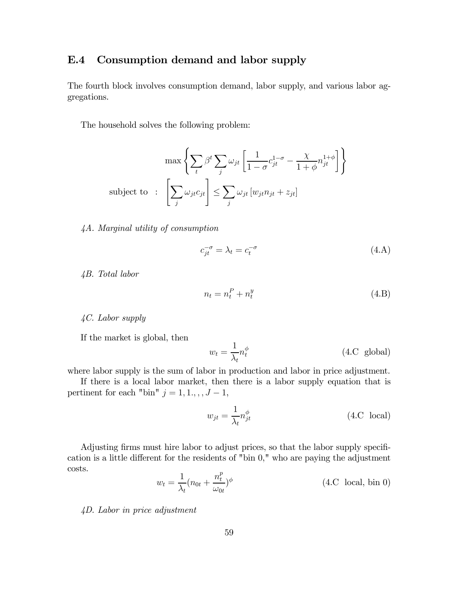## E.4 Consumption demand and labor supply

The fourth block involves consumption demand, labor supply, and various labor aggregations.

The household solves the following problem:

$$
\max \left\{ \sum_{t} \beta^{t} \sum_{j} \omega_{jt} \left[ \frac{1}{1 - \sigma} c_{jt}^{1 - \sigma} - \frac{\chi}{1 + \phi} n_{jt}^{1 + \phi} \right] \right\}
$$
\nsubject to: 
$$
\left[ \sum_{j} \omega_{jt} c_{jt} \right] \le \sum_{j} \omega_{jt} \left[ w_{jt} n_{jt} + z_{jt} \right]
$$

4A. Marginal utility of consumption

$$
c_{jt}^{-\sigma} = \lambda_t = c_t^{-\sigma} \tag{4.A}
$$

4B. Total labor

$$
n_t = n_t^P + n_t^y \tag{4.B}
$$

4C. Labor supply

If the market is global, then

$$
w_t = \frac{1}{\lambda_t} n_t^{\phi} \tag{4.C. global}
$$

where labor supply is the sum of labor in production and labor in price adjustment.

If there is a local labor market, then there is a labor supply equation that is pertinent for each "bin"  $j = 1, 1, \ldots, J - 1$ ,

$$
w_{jt} = \frac{1}{\lambda_t} n_{jt}^{\phi} \tag{4.C. local}
$$

Adjusting firms must hire labor to adjust prices, so that the labor supply specification is a little different for the residents of "bin 0," who are paying the adjustment costs.  $\overline{r}$ 

$$
w_t = \frac{1}{\lambda_t} (n_{0t} + \frac{n_t^p}{\omega_{0t}})^{\phi}
$$
 (4.C local, bin 0)

4D. Labor in price adjustment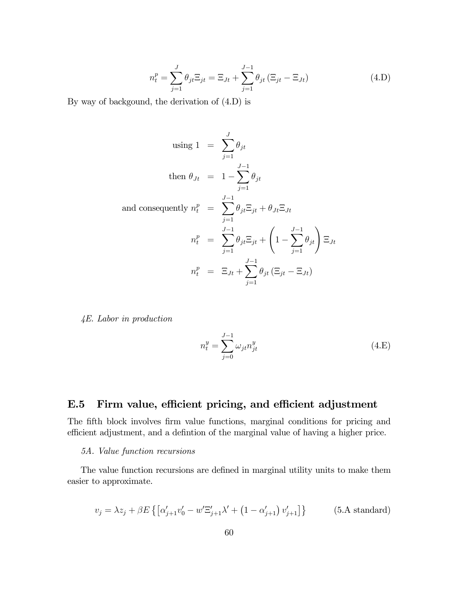$$
n_t^p = \sum_{j=1}^J \theta_{jt} \Xi_{jt} = \Xi_{Jt} + \sum_{j=1}^{J-1} \theta_{jt} (\Xi_{jt} - \Xi_{Jt})
$$
 (4.D)

By way of backgound, the derivation of (4.D) is

using 
$$
1 = \sum_{j=1}^{J} \theta_{jt}
$$
  
\nthen  $\theta_{Jt} = 1 - \sum_{j=1}^{J-1} \theta_{jt}$   
\nand consequently  $n_t^p = \sum_{j=1}^{J-1} \theta_{jt} \Xi_{jt} + \theta_{Jt} \Xi_{Jt}$   
\n
$$
n_t^p = \sum_{j=1}^{J-1} \theta_{jt} \Xi_{jt} + \left(1 - \sum_{j=1}^{J-1} \theta_{jt}\right) \Xi_{Jt}
$$
\n
$$
n_t^p = \Xi_{Jt} + \sum_{j=1}^{J-1} \theta_{jt} \left(\Xi_{jt} - \Xi_{Jt}\right)
$$

4E. Labor in production

$$
n_t^y = \sum_{j=0}^{J-1} \omega_{jt} n_{jt}^y
$$
\n(4.E)

## E.5 Firm value, efficient pricing, and efficient adjustment

The fifth block involves firm value functions, marginal conditions for pricing and efficient adjustment, and a defintion of the marginal value of having a higher price.

#### 5A. Value function recursions

The value function recursions are defined in marginal utility units to make them easier to approximate.

$$
v_j = \lambda z_j + \beta E \left\{ \left[ \alpha'_{j+1} v'_0 - w' \Xi'_{j+1} \lambda' + \left( 1 - \alpha'_{j+1} \right) v'_{j+1} \right] \right\} \tag{5.A standard}
$$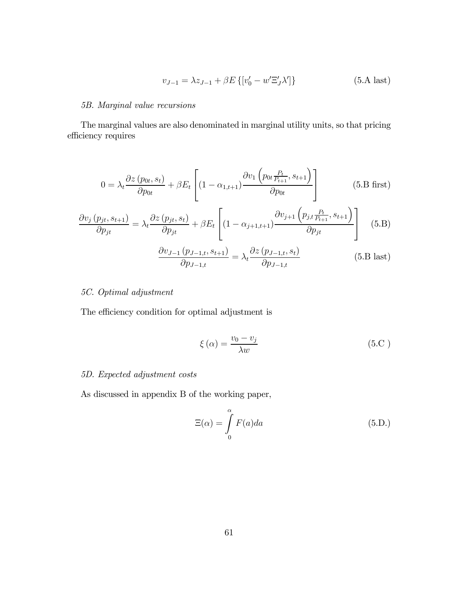$$
v_{J-1} = \lambda z_{J-1} + \beta E \{ [v'_0 - w' \Xi'_J \lambda' ] \}
$$
 (5.A last)

#### 5B. Marginal value recursions

The marginal values are also denominated in marginal utility units, so that pricing efficiency requires

$$
0 = \lambda_t \frac{\partial z(p_{0t}, s_t)}{\partial p_{0t}} + \beta E_t \left[ (1 - \alpha_{1,t+1}) \frac{\partial v_1(p_{0t} \frac{P_t}{P_{t+1}}, s_{t+1})}{\partial p_{0t}} \right]
$$
(5. B first)

$$
\frac{\partial v_j(p_{jt}, s_{t+1})}{\partial p_{jt}} = \lambda_t \frac{\partial z(p_{jt}, s_t)}{\partial p_{jt}} + \beta E_t \left[ (1 - \alpha_{j+1, t+1}) \frac{\partial v_{j+1}(p_{j, t} \frac{P_t}{P_{t+1}}, s_{t+1})}{\partial p_{jt}} \right]
$$
(5. B)

$$
\frac{\partial v_{J-1}(p_{J-1,t}, s_{t+1})}{\partial p_{J-1,t}} = \lambda_t \frac{\partial z(p_{J-1,t}, s_t)}{\partial p_{J-1,t}}
$$
(5.B last)

#### 5C. Optimal adjustment

The efficiency condition for optimal adjustment is

$$
\xi(\alpha) = \frac{v_0 - v_j}{\lambda w} \tag{5.C}
$$

#### 5D. Expected adjustment costs

As discussed in appendix B of the working paper,

$$
\Xi(\alpha) = \int_{0}^{\alpha} F(a)da \qquad (5.D.)
$$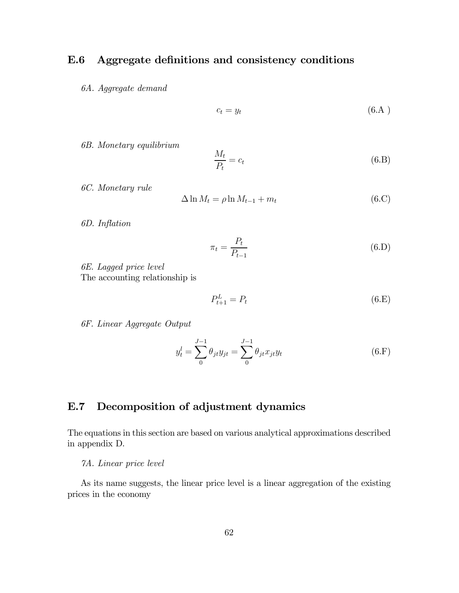## E.6 Aggregate definitions and consistency conditions

6A. Aggregate demand

$$
c_t = y_t \tag{6.A}
$$

6B. Monetary equilibrium

$$
\frac{M_t}{P_t} = c_t \tag{6.B}
$$

6C. Monetary rule

$$
\Delta \ln M_t = \rho \ln M_{t-1} + m_t \tag{6.C}
$$

6D. Inflation

$$
\pi_t = \frac{P_t}{P_{t-1}}\tag{6.D}
$$

6E. Lagged price level The accounting relationship is

$$
P_{t+1}^L = P_t \tag{6.E}
$$

6F. Linear Aggregate Output

$$
y_t^l = \sum_{0}^{J-1} \theta_{jt} y_{jt} = \sum_{0}^{J-1} \theta_{jt} x_{jt} y_t
$$
 (6.F)

## E.7 Decomposition of adjustment dynamics

The equations in this section are based on various analytical approximations described in appendix D.

#### 7A. Linear price level

As its name suggests, the linear price level is a linear aggregation of the existing prices in the economy